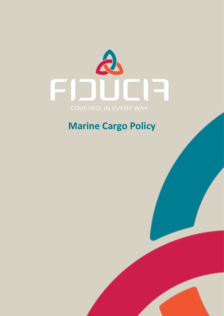

# **Marine Cargo Policy**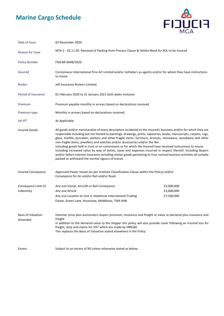

| Date of Issue                        | 03 November 2020.                                                                                                                                                                                                                                                                                                                                                                                                                                                                                                                                                                                                                                                                                                                                                                                                                                       |                                        |
|--------------------------------------|---------------------------------------------------------------------------------------------------------------------------------------------------------------------------------------------------------------------------------------------------------------------------------------------------------------------------------------------------------------------------------------------------------------------------------------------------------------------------------------------------------------------------------------------------------------------------------------------------------------------------------------------------------------------------------------------------------------------------------------------------------------------------------------------------------------------------------------------------------|----------------------------------------|
| <b>Reason for Issue</b>              | MTA 2 - 02.11.20- Removal of Packing from Process Clause & Delete Need for XOL to be Insured                                                                                                                                                                                                                                                                                                                                                                                                                                                                                                                                                                                                                                                                                                                                                            |                                        |
| <b>Policy Number</b>                 | FIDCAR-0048/2020.                                                                                                                                                                                                                                                                                                                                                                                                                                                                                                                                                                                                                                                                                                                                                                                                                                       |                                        |
| Assured                              | Connoisseur International Fine Art Limited and/or Sotheby's as agents and/or for whom they have instructions<br>to insure                                                                                                                                                                                                                                                                                                                                                                                                                                                                                                                                                                                                                                                                                                                               |                                        |
| <b>Broker</b>                        | Jelf Insurance Brokers Limited.                                                                                                                                                                                                                                                                                                                                                                                                                                                                                                                                                                                                                                                                                                                                                                                                                         |                                        |
| Period of Insurance                  | 01 February 2020 to 31 January 2021 both dates inclusive.                                                                                                                                                                                                                                                                                                                                                                                                                                                                                                                                                                                                                                                                                                                                                                                               |                                        |
| Premium                              | Premium payable monthly in arrears based on declarations received                                                                                                                                                                                                                                                                                                                                                                                                                                                                                                                                                                                                                                                                                                                                                                                       |                                        |
| Premium type                         | Monthly in arrears based on declarations received.                                                                                                                                                                                                                                                                                                                                                                                                                                                                                                                                                                                                                                                                                                                                                                                                      |                                        |
| UK IPT                               | As Applicable                                                                                                                                                                                                                                                                                                                                                                                                                                                                                                                                                                                                                                                                                                                                                                                                                                           |                                        |
| <b>Insured Goods</b>                 | All goods and/or merchandise of every description incidental to the Insured's business and/or for which they are<br>responsible including but not limited to paintings, drawings, prints, tapestries, books, manuscripts, carpets, rugs,<br>glass, marble, porcelain, pottery and other fragile items, furniture, bronzes, stoneware, woodware and other<br>non-fragile items, jewellery and watches and/or accessories and/or the like.<br>Including goods held in trust or on commission or for which the Insured have received instructions to insure.<br>Including increased value by way of duties, taxes and expenses incurred in respect thereof. Including Buyers<br>and/or Sellers Interest Insurance including similar goods pertaining to Your normal business activities all suitably<br>packed to withstand the normal rigours of transit. |                                        |
| <b>Insured Conveyance</b>            | Approved Power Vessel (as per Institute Classification Clause within the Policy) and/or<br>Conveyance for Air and/or Rail and/or Road.                                                                                                                                                                                                                                                                                                                                                                                                                                                                                                                                                                                                                                                                                                                  |                                        |
| Conveyance Limit of<br>Indemnity     | Any one Vessel, Aircraft or Rail Conveyance<br>Any one Article<br>Any one Location at Unit 4, Heathrow International Trading<br>Estate, Green Lane, Hounslow, Middlesex, TW4 6HB                                                                                                                                                                                                                                                                                                                                                                                                                                                                                                                                                                                                                                                                        | £5,000,000<br>£3,000,000<br>£7,500,000 |
| <b>Basis of Valuation</b><br>Amended | Hammer price plus auctioneers buyers premium, insurance and freight or value as declared plus insurance and<br>freight<br>In addition to the declared value to the shipper this policy will also provide cover following an insured loss for<br>freight, duty and claims for VAT which are made by HMC&E.<br>This replaces the Basis of Valuation stated elsewhere in the Policy                                                                                                                                                                                                                                                                                                                                                                                                                                                                        |                                        |
| <b>Excess</b>                        | Subject to an excess of Nil unless otherwise stated as below.                                                                                                                                                                                                                                                                                                                                                                                                                                                                                                                                                                                                                                                                                                                                                                                           |                                        |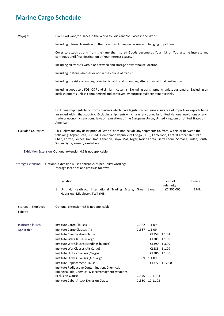| Voyages                                | From Ports and/or Places in the World to Ports and/or Places in the World                                                                                                                                                                                                                                                                                                                                                               |                                                                                                                              |                          |         |
|----------------------------------------|-----------------------------------------------------------------------------------------------------------------------------------------------------------------------------------------------------------------------------------------------------------------------------------------------------------------------------------------------------------------------------------------------------------------------------------------|------------------------------------------------------------------------------------------------------------------------------|--------------------------|---------|
|                                        | Including internal transits with the UK and including unpacking and hanging of pictures                                                                                                                                                                                                                                                                                                                                                 |                                                                                                                              |                          |         |
|                                        | Cover to attach at and from the time the Insured Goods become at Your risk or You assume interest and<br>continues until final destination or Your interest ceases.                                                                                                                                                                                                                                                                     |                                                                                                                              |                          |         |
|                                        | Including all transits within or between and storage or warehouse location                                                                                                                                                                                                                                                                                                                                                              |                                                                                                                              |                          |         |
|                                        | Including in store whether or not in the course of transit.                                                                                                                                                                                                                                                                                                                                                                             |                                                                                                                              |                          |         |
|                                        | Including the risks of loading prior to dispatch and unloading after arrival at final destination                                                                                                                                                                                                                                                                                                                                       |                                                                                                                              |                          |         |
|                                        | Including goods sold FOB, C&F and similar Incoterms. Excluding transhipments unless customary. Excluding on<br>deck shipments unless containerised and conveyed by purpose built container vessels.                                                                                                                                                                                                                                     |                                                                                                                              |                          |         |
|                                        | Excluding shipments to or from countries which have legislation requiring insurance of imports or exports to be<br>arranged within that country. Excluding shipments which are sanctioned by United Nations resolutions or any<br>trade or economic sanctions, laws or regulations of the European Union, United Kingdom or United States of<br>America.                                                                                |                                                                                                                              |                          |         |
| <b>Excluded Countries</b>              | This Policy and any description of 'World' does not include any shipments to, from, within or between the<br>following: Afghanistan, Burundi, Democratic Republic of Congo (DRC), Cameroon, Central African Republic,<br>Chad, Eritrea, Guinea, Iran, Iraq, Lebanon, Libya, Mali, Niger, North Korea, Sierra Leone, Somalia, Sudan, South<br>Sudan, Syria, Yemen, Zimbabwe.                                                             |                                                                                                                              |                          |         |
|                                        | Exhibition Extension Optional extension 4.1 is not applicable.                                                                                                                                                                                                                                                                                                                                                                          |                                                                                                                              |                          |         |
| <b>Storage Extension</b>               | Optional extension 4.2 is applicable, as per Policy wording;<br>storage locations and limits as follows:                                                                                                                                                                                                                                                                                                                                |                                                                                                                              |                          |         |
|                                        | Location                                                                                                                                                                                                                                                                                                                                                                                                                                |                                                                                                                              | Limit of                 | Excess: |
|                                        | Unit 4, Heathrow International Trading Estate, Green Lane,<br>1<br>Hounslow, Middlesex, TW4 6HB                                                                                                                                                                                                                                                                                                                                         |                                                                                                                              | Indemnity:<br>£7,500,000 | £ NIL   |
| Storage - Employee<br>Fidelity         | Optional extension 4.3 is not applicable.                                                                                                                                                                                                                                                                                                                                                                                               |                                                                                                                              |                          |         |
| <b>Institute Clauses</b><br>Applicable | Institute Cargo Clauses (A)<br>Institute Cargo Clauses (Air)<br>Institute Classification Clause<br>Institute War Clauses (Cargo)<br>Institute War Clauses (sendings by post)<br>Institute War Clauses (Air Cargo)<br>Institute Strikes Clauses (Cargo)<br>Institute Strikes Clauses (Air Cargo)<br>Institute Replacement Clause<br>Institute Radioactive Contamination, Chemical,<br>Biological, Bio-Chemical & electromagnetic weapons | CL382 1.1.09<br>CL387 1.1.09<br>CL354 1.1.01<br>CL385 1.1.09<br>CL390 1.3.09<br>CL388 1.1.09<br>CL386 1.1.09<br>CL389 1.1.09 | CL372 1.12.08            |         |
|                                        | <b>Exclusion Clause</b><br>Institute Cyber Attack Exclusion Clause                                                                                                                                                                                                                                                                                                                                                                      | CL370 10.11.03<br>CL380 10.11.03                                                                                             |                          |         |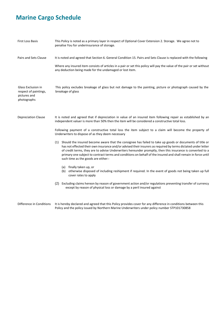| <b>First Loss Basis</b>                                                    | This Policy is noted as a primary layer in respect of Optional Cover Extension 2. Storage. We agree not to<br>penalise You for underinsurance of storage.                                                                                                                                                                                                                                                                                                                                          |
|----------------------------------------------------------------------------|----------------------------------------------------------------------------------------------------------------------------------------------------------------------------------------------------------------------------------------------------------------------------------------------------------------------------------------------------------------------------------------------------------------------------------------------------------------------------------------------------|
| Pairs and Sets Clause                                                      | It is noted and agreed that Section 6. General Condition 15. Pairs and Sets Clause is replaced with the following                                                                                                                                                                                                                                                                                                                                                                                  |
|                                                                            | Where any insured item consists of articles in a pair or set this policy will pay the value of the pair or set without<br>any deduction being made for the undamaged or lost item.                                                                                                                                                                                                                                                                                                                 |
| Glass Exclusion in<br>respect of paintings,<br>pictures and<br>photographs | This policy excludes breakage of glass but not damage to the painting, picture or photograph caused by the<br>breakage of glass                                                                                                                                                                                                                                                                                                                                                                    |
| <b>Depreciation Clause</b>                                                 | It is noted and agreed that if depreciation in value of an insured item following repair as established by an<br>independent valuer is more than 50% then the item will be considered a constructive total loss.                                                                                                                                                                                                                                                                                   |
|                                                                            | Following payment of a constructive total loss the item subject to a claim will become the property of<br>Underwriters to dispose of as they deem necessary                                                                                                                                                                                                                                                                                                                                        |
|                                                                            | (1) Should the insured become aware that the consignee has failed to take up goods or documents of title or<br>has not effected their own insurance and/or advised their insurers as required by terms dictated under letter<br>of credit terms, they are to advise Underwriters hereunder promptly, then this insurance is converted to a<br>primary one subject to contract terms and conditions on behalf of the insured and shall remain in force until<br>such time as the goods are either:- |
|                                                                            | (a) finally taken up, or<br>(b) otherwise disposed of including reshipment if required. In the event of goods not being taken up full<br>cover rates to apply                                                                                                                                                                                                                                                                                                                                      |
|                                                                            | (2) Excluding claims hereon by reason of government action and/or regulations preventing transfer of currency<br>except by reason of physical loss or damage by a peril insured against                                                                                                                                                                                                                                                                                                            |
| Difference in Conditions                                                   | It is hereby declared and agreed that this Policy provides cover for any difference in conditions between this<br>Policy and the policy issued by Northern Marine Underwriters under policy number STP101730858                                                                                                                                                                                                                                                                                    |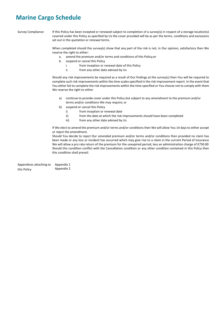Survey Compliance If this Policy has been incepted or renewed subject to completion of a survey(s) in respect of a storage location(s) covered under this Policy as specified by Us the cover provided will be as per the terms, conditions and exclusions set out in the quotation or renewal terms.

> When completed should the survey(s) show that any part of the risk is not, in Our opinion, satisfactory then We reserve the right to either:

- a. amend the premium and/or terms and conditions of this Policy;or
- b. suspend or cancel this Policy
	- i. from inception or renewal date of this Policy
	- ii. from any other date advised by Us

Should any risk improvements be required as a result of Our findings at the survey(s) then You will be required to complete such risk improvements within the time scales specified in the risk improvement report. In the event that You either fail to complete the risk improvements within the time specified or You choose not to comply with them We reserve the right to either

- a) continue to provide cover under this Policy but subject to any amendment to the premium and/or terms and/or conditions We may require; or
- b) suspend or cancel this Policy
	- i) from inception or renewal date
	- ii) from the date at which the risk improvements should have been completed
	- iii) from any other date advised by Us

If We elect to amend the premium and/or terms and/or conditions then We will allow You 14 days to either accept or reject the amendment.

Should You decide to reject Our amended premium and/or terms and/or conditions then provided no claim has been made or any loss or incident has occurred which may give rise to a claim in the current Period of Insurance We will allow a pro rata return of the premium for the unexpired period, less an administration charge of £750.00 Should this condition conflict with the Cancellation condition or any other condition contained in this Policy then this condition shall prevail.

Appendices attaching to this Policy Appendix 1 Appendix 2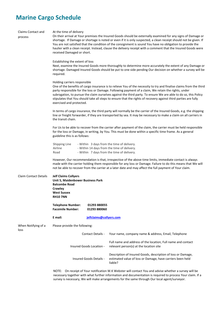#### Claims Contact and

process

#### At the time of delivery

On their arrival at Your premises the Insured Goods should be externally examined for any signs of Damage or shortage. If Damage or shortage is noted or even if it is only suspected, a clean receipt should not be given. If You are not satisfied that the condition of the consignment is sound You have no obligation to provide the haulier with a clean receipt. Instead, clause the delivery receipt with a comment that the Insured Goods were received Damaged or short.

Establishing the extent of loss

Next, examine the Insured Goods more thoroughly to determine more accurately the extent of any Damage or shortage. Damaged Insured Goods should be put to one side pending Our decision on whether a survey will be required.

#### Holding carriers responsible

One of the benefits of cargo insurance is to relieve You of the necessity to try and finalise claims from the third party responsible for the loss or Damage. Following payment of a claim, We retain the rights, under subrogation, to pursue the claim ourselves against the third party. To ensure We are able to do so, this Policy stipulates that You should take all steps to ensure that the rights of recovery against third parties are fully exercised and protected.

In terms of cargo insurance, the third party will normally be the carrier of the Insured Goods, e.g. the shipping line or freight forwarder, if they are transported by sea. It may be necessary to make a claim on all carriers in the transit chain.

For Us to be able to recover from the carrier after payment of the claim, the carrier must be held responsible for the loss or Damage, in writing, by You. This must be done within a specific time frame. As a general guideline this is as follows:

| Shipping Line | - Within 3 days from the time of delivery.  |
|---------------|---------------------------------------------|
| Airline       | - Within 14 days from the time of delivery. |
| Road          | - Within 7 days from the time of delivery.  |

However, Our recommendation is that, irrespective of the above time limits, immediate contact is always made with the carrier holding them responsible for any loss or Damage. Failure to do this means that We will not be able to recover from the carrier at a later date and may affect the full payment of Your claim.

| <b>Claim Contact Details</b> | <b>Jelf Claims Collyers</b><br>Unit 5, Maidenbower Business Park<br><b>Balcombe Road</b><br>Crawley<br><b>West Sussex</b><br><b>RH10 7NN</b> |                              |                                                                                                                                                                                                                                                                                                                                                                                                                                                             |
|------------------------------|----------------------------------------------------------------------------------------------------------------------------------------------|------------------------------|-------------------------------------------------------------------------------------------------------------------------------------------------------------------------------------------------------------------------------------------------------------------------------------------------------------------------------------------------------------------------------------------------------------------------------------------------------------|
|                              | <b>Telephone Number:</b><br><b>Facsimile Number:</b>                                                                                         | 01293 880055<br>01293 880060 |                                                                                                                                                                                                                                                                                                                                                                                                                                                             |
|                              | E mail:                                                                                                                                      | jelfclaims@collyers.com      |                                                                                                                                                                                                                                                                                                                                                                                                                                                             |
| When Notifying of a<br>loss  | Please provide the following:                                                                                                                |                              |                                                                                                                                                                                                                                                                                                                                                                                                                                                             |
|                              |                                                                                                                                              | <b>Contact Details -</b>     | Your name, company name & address, Email, Telephone                                                                                                                                                                                                                                                                                                                                                                                                         |
|                              |                                                                                                                                              | Insured Goods Location -     | Full name and address of the location, Full name and contact<br>relevant person(s) at the location site                                                                                                                                                                                                                                                                                                                                                     |
|                              |                                                                                                                                              | Insured Goods Details -      | Description of Insured Goods, description of loss or Damage,<br>estimated value of loss or Damage, have carriers been held<br>liable?                                                                                                                                                                                                                                                                                                                       |
|                              |                                                                                                                                              |                              | $\mathcal{L}(\mathcal{L}(\mathcal{L}(\mathcal{L}(\mathcal{L}(\mathcal{L}(\mathcal{L}(\mathcal{L}(\mathcal{L}(\mathcal{L}(\mathcal{L}(\mathcal{L}(\mathcal{L}(\mathcal{L}(\mathcal{L}(\mathcal{L}(\mathcal{L}(\mathcal{L}(\mathcal{L}(\mathcal{L}(\mathcal{L}(\mathcal{L}(\mathcal{L}(\mathcal{L}(\mathcal{L}(\mathcal{L}(\mathcal{L}(\mathcal{L}(\mathcal{L}(\mathcal{L}(\mathcal{L}(\mathcal{L}(\mathcal{L}(\mathcal{L}(\mathcal{L}(\mathcal{L}(\mathcal{$ |

NOTE: On receipt of Your notification W.K Webster will contact You and advise whether a survey will be necessary together with what further information and documentation is required to process Your claim. If a survey is necessary, We will make arrangements for the same through Our local agent/surveyor.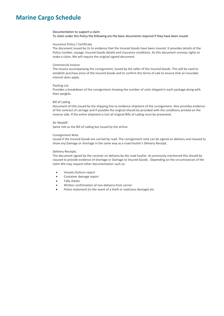#### Documentation to support a claim

To claim under this Policy the following are the basic documents required if they have been issued:

#### Insurance Policy / Certificate

The document issued by Us to evidence that the Insured Goods have been insured. It provides details of the Policy number, voyage, Insured Goods details and insurance conditions. As this document conveys rights to make a claim, We will require the original signed document.

#### Commercial Invoice

The invoice accompanying the consignment, issued by the seller of the Insured Goods. This will be used to establish purchase price of the Insured Goods and to confirm the terms of sale to ensure that an insurable interest does apply.

#### Packing List

Provides a breakdown of the consignment showing the number of units shipped in each package along with their weights.

#### Bill of Lading

Document of title issued by the shipping line to evidence shipment of the consignment. Also provides evidence of the contract of carriage and if possible the original should be provided with the conditions printed on the reverse side. If the entire shipment is lost all original Bills of Lading must be presented.

#### Air Waybill

Same role as the Bill of Lading but issued by the airline.

#### Consignment Note

Issued if the Insured Goods are carried by road. The consignment note can be signed on delivery and claused to show any Damage or shortage in the same way as a road haulier's Delivery Receipt.

#### Delivery Receipts

The document signed by the receiver on delivery by the road haulier. As previously mentioned this should be claused to provide evidence of shortage or Damage to Insured Goods. Depending on the circumstances of the claim We may request other documentation such as:

- Vessels Outturn report
- Container damage report
- Tally sheets
- Written confirmation of non-delivery from carrier
- Police statement (in the event of a theft or malicious damage) etc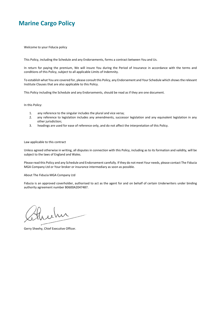### **Marine Cargo Policy**

Welcome to your Fiducia policy

This Policy, including the Schedule and any Endorsements, forms a contract between You and Us.

In return for paying the premium, We will insure You during the Period of Insurance in accordance with the terms and conditions of this Policy, subject to all applicable Limits of Indemnity.

To establish what You are covered for, please consult this Policy, any Endorsement and Your Schedule which shows the relevant Institute Clauses that are also applicable to this Policy.

This Policy including the Schedule and any Endorsements, should be read as if they are one document.

In this Policy:

- 1. any reference to the singular includes the plural and vice versa;
- 2. any reference to legislation includes any amendments, successor legislation and any equivalent legislation in any other jurisdiction;
- 3. headings are used for ease of reference only, and do not affect the interpretation of this Policy.

Law applicable to this contract

Unless agreed otherwise in writing, all disputes in connection with this Policy, including as to its formation and validity, will be subject to the laws of England and Wales.

Please read this Policy and any Schedule and Endorsement carefully. If they do not meet Your needs, please contact The Fiducia MGA Company Ltd or Your broker or insurance intermediary as soon as possible.

About The Fiducia MGA Company Ltd

Fiducia is an approved coverholder, authorised to act as the agent for and on behalf of certain Underwriters under binding authority agreement number B0600A2047487.

Gerry Sheehy, Chief Executive Officer.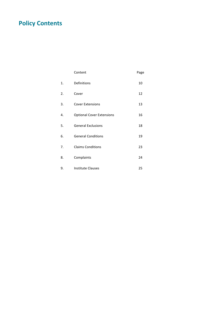# **Policy Contents**

|    | Content                          | Page |
|----|----------------------------------|------|
| 1. | Definitions                      | 10   |
| 2. | Cover                            | 12   |
| 3. | <b>Cover Extensions</b>          | 13   |
| 4. | <b>Optional Cover Extensions</b> | 16   |
| 5. | <b>General Exclusions</b>        | 18   |
| 6. | <b>General Conditions</b>        | 19   |
| 7. | <b>Claims Conditions</b>         | 23   |
| 8. | Complaints                       | 24   |
| 9. | <b>Institute Clauses</b>         | 25   |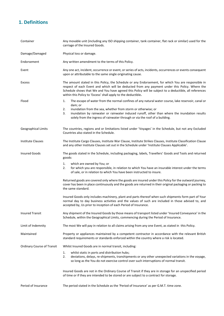### <span id="page-9-0"></span>**1. Definitions**

| Container                         | Any movable unit (including any ISO shipping container, tank container, flat rack or similar) used for the<br>carriage of the Insured Goods.                                                                                                                                                                                                                                     |  |  |
|-----------------------------------|----------------------------------------------------------------------------------------------------------------------------------------------------------------------------------------------------------------------------------------------------------------------------------------------------------------------------------------------------------------------------------|--|--|
| Damage/Damaged                    | Physical loss or damage.                                                                                                                                                                                                                                                                                                                                                         |  |  |
| Endorsement                       | Any written amendment to the terms of this Policy.                                                                                                                                                                                                                                                                                                                               |  |  |
| Event                             | Any one act, incident, occurrence or event, or series of acts, incidents, occurrences or events consequent<br>upon or attributable to the same single originating cause.                                                                                                                                                                                                         |  |  |
| <b>Excess</b>                     | The amount stated in this Policy, the Schedule or any Endorsement, for which You are responsible in<br>respect of each Event and which will be deducted from any payment under this Policy. Where the<br>Schedule shows that We and You have agreed this Policy will be subject to a deductible, all references<br>within this Policy to 'Excess' shall apply to the deductible. |  |  |
| Flood                             | The escape of water from the normal confines of any natural water course, lake reservoir, canal or<br>1.<br>dam; or<br>inundation from the sea, whether from storm or otherwise; or<br>2.<br>3.<br>inundation by rainwater or rainwater induced runoff, other than where the inundation results<br>solely from the ingress of rainwater through or via the roof of a building.   |  |  |
| <b>Geographical Limits</b>        | The countries, regions and or limitations listed under 'Voyages' in the Schedule, but not any Excluded<br>Countries also stated in the Schedule.                                                                                                                                                                                                                                 |  |  |
| <b>Institute Clauses</b>          | The Institute Cargo Clauses, Institute War Clause, Institute Strikes Clauses, Institute Classification Clause<br>and any other Institute Clauses set out in the Schedule under 'Institute Clauses Applicable'.                                                                                                                                                                   |  |  |
| <b>Insured Goods</b>              | The goods stated in the Schedule, including packaging, labels, Travellers' Goods and Tools and returned<br>goods:                                                                                                                                                                                                                                                                |  |  |
|                                   | which are owned by You; or<br>1.<br>2.<br>for which you are responsible, in relation to which You have an insurable interest under the terms<br>of sale, or in relation to which You have been instructed to insure.                                                                                                                                                             |  |  |
|                                   | Returned goods are covered only where the goods are insured under this Policy for the outward journey,<br>cover has been in place continuously and the goods are returned in their original packaging or packing to<br>the same standard.                                                                                                                                        |  |  |
|                                   | Insured Goods only includes machinery, plant and parts thereof when such shipments form part of Your<br>normal day to day business activities and the values of such are included in those advised to, and<br>accepted by, Us prior to inception of each Period of Insurance.                                                                                                    |  |  |
| <b>Insured Transit</b>            | Any shipment of the Insured Goods by those means of transport listed under 'Insured Conveyance' in the<br>Schedule, within the Geographical Limits, commencing during the Period of Insurance.                                                                                                                                                                                   |  |  |
| Limit of Indemnity                | The most We will pay in relation to all claims arising from any one Event, as stated in this Policy.                                                                                                                                                                                                                                                                             |  |  |
| Maintained                        | Property or appliances maintained by a competent contractor in accordance with the relevant British<br>standard requirements or standards enforced within the country where a risk is located.                                                                                                                                                                                   |  |  |
| <b>Ordinary Course of Transit</b> | Whilst Insured Goods are in normal transit, including:                                                                                                                                                                                                                                                                                                                           |  |  |
|                                   | whilst static in ports and distribution hubs;<br>1.<br>2.<br>deviations, delays, re-shipments, transhipments or any other unexpected variations in the voyage,<br>so long as the You do not exercise control over such interruptions of normal transit.                                                                                                                          |  |  |
|                                   | Insured Goods are not in the Ordinary Course of Transit if they are in storage for an unspecified period<br>of time or if they are intended to be stored or are subject to a contract for storage.                                                                                                                                                                               |  |  |
| Period of Insurance               | The period stated in the Schedule as the 'Period of Insurance' as per G.M.T. time zone.                                                                                                                                                                                                                                                                                          |  |  |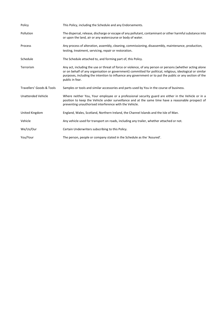| Policy                    | This Policy, including the Schedule and any Endorsements.                                                                                                                                                                                                                                                                                              |
|---------------------------|--------------------------------------------------------------------------------------------------------------------------------------------------------------------------------------------------------------------------------------------------------------------------------------------------------------------------------------------------------|
| Pollution                 | The dispersal, release, discharge or escape of any pollutant, contaminant or other harmful substance into<br>or upon the land, air or any watercourse or body of water.                                                                                                                                                                                |
| Process                   | Any process of alteration, assembly, cleaning, commissioning, disassembly, maintenance, production,<br>testing, treatment, servicing, repair or restoration.                                                                                                                                                                                           |
| Schedule                  | The Schedule attached to, and forming part of, this Policy.                                                                                                                                                                                                                                                                                            |
| Terrorism                 | Any act, including the use or threat of force or violence, of any person or persons (whether acting alone<br>or on behalf of any organisation or government) committed for political, religious, ideological or similar<br>purposes, including the intention to influence any government or to put the public or any section of the<br>public in fear. |
| Travellers' Goods & Tools | Samples or tools and similar accessories and parts used by You in the course of business.                                                                                                                                                                                                                                                              |
| <b>Unattended Vehicle</b> | Where neither You, Your employee or a professional security guard are either in the Vehicle or in a<br>position to keep the Vehicle under surveillance and at the same time have a reasonable prospect of<br>preventing unauthorised interference with the Vehicle.                                                                                    |
| United Kingdom            | England, Wales, Scotland, Northern Ireland, the Channel Islands and the Isle of Man.                                                                                                                                                                                                                                                                   |
| Vehicle                   | Any vehicle used for transport on roads, including any trailer, whether attached or not.                                                                                                                                                                                                                                                               |
| We/Us/Our                 | Certain Underwriters subscribing to this Policy.                                                                                                                                                                                                                                                                                                       |
| You/Your                  | The person, people or company stated in the Schedule as the 'Assured'.                                                                                                                                                                                                                                                                                 |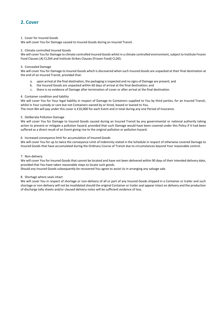### <span id="page-11-0"></span>**2. Cover**

#### 1. Cover for Insured Goods

We will cover You for Damage caused to Insured Goods during an Insured Transit.

#### 2. Climate controlled Insured Goods

We will cover You for Damage to climate controlled Insured Goods whilst in a climate controlled environment, subject to Institute Frozen Food Clauses (A) CL264 and Institute Strikes Clauses (Frozen Food) CL265.

#### 3. Concealed Damage

We will cover You for Damage to Insured Goods which is discovered when such Insured Goods are unpacked at their final destination at the end of an Insured Transit, provided that:

- a. upon arrival at the final destination, the packaging is inspected and no signs of Damage are present; and
- b. the Insured Goods are unpacked within 60 days of arrival at the final destination; and
- c. there is no evidence of Damage after termination of cover or after arrival at the final destination.

#### 4. Container condition and liability

We will cover You for Your legal liability in respect of Damage to Containers supplied to You by third parties, for an Insured Transit, whilst in Your custody or care but not Containers owned by or hired, leased or loaned to You.

The most We will pay under this cover is £10,000 for each Event and in total during any one Period of Insurance.

#### 5. Deliberate Pollution Damage

We will cover You for Damage to Insured Goods caused during an Insured Transit by any governmental or national authority taking action to prevent or mitigate a pollution hazard, provided that such Damage would have been covered under this Policy if it had been suffered as a direct result of an Event giving rise to the original pollution or pollution hazard.

#### 6. Increased conveyance limit for accumulation of Insured Goods

We will cover You for up to twice the conveyance Limit of Indemnity stated in the Schedule in respect of otherwise covered Damage to Insured Goods that have accumulated during the Ordinary Course of Transit due to circumstances beyond Your reasonable control.

#### 7. Non-delivery

We will cover You for Insured Goods that cannot be located and have not been delivered within 90 days of their intended delivery date, provided that You have taken reasonable steps to locate such goods.

Should any Insured Goods subsequently be recovered You agree to assist Us in arranging any salvage sale.

#### 8. Shortage where seals intact

We will cover You in respect of shortage or non-delivery of all or part of any Insured Goods shipped in a Container or trailer and such shortage or non-delivery will not be invalidated should the original Container or trailer seal appear intact on delivery and the production of discharge tally sheets and/or claused delivery notes will be sufficient evidence of loss.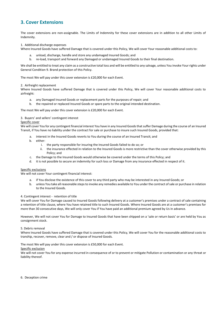### <span id="page-12-0"></span>**3. Cover Extensions**

The cover extensions are non-assignable. The Limits of Indemnity for these cover extensions are in addition to all other Limits of Indemnity.

#### 1. Additional discharge expenses

Where Insured Goods have suffered Damage that is covered under this Policy, We will cover Your reasonable additional costs to:

- a. unload, discharge, handle and store any undamaged Insured Goods; and
- b. re-load, transport and forward any Damaged or undamaged Insured Goods to their final destination.

We shall be entitled to treat any claim as a constructive total loss and will be entitled to any salvage, unless You invoke Your rights under General Condition 9. Brand protection of this Policy.

The most We will pay under this cover extension is £20,000 for each Event.

#### 2. Airfreight replacement

Where Insured Goods have suffered Damage that is covered under this Policy, We will cover Your reasonable additional costs to airfreight:

a. any Damaged Insured Goods or replacement parts for the purposes of repair; and

b. the repaired or replaced Insured Goods or spare parts to the original intended destination.

The most We will pay under this cover extension is £20,000 for each Event.

#### 3. Buyers' and sellers' contingent interest

#### Specific cover

We will cover You for any contingent financial interest You have in any Insured Goods that suffer Damage during the course of an Insured Transit, if You have no liability under the contract for sale or purchase to insure such Insured Goods, provided that:

- a. interest in the Insured Goods reverts to You during the course of an Insured Transit; and
- b. either:
	- i. the party responsible for insuring the Insured Goods failed to do so; or
	- ii. the insurance effected in relation to the Insured Goods is more restrictive than the cover otherwise provided by this Policy; and
- c. the Damage to the Insured Goods would otherwise be covered under the terms of this Policy; and
- d. it is not possible to secure an indemnity for such loss or Damage from any insurance effected in respect of it.

#### Specific exclusions

We will not cover Your contingent financial interest:

- a. if You disclose the existence of this cover to any third party who may be interested in any Insured Goods; or
- b. unless You take all reasonable steps to invoke any remedies available to You under the contract of sale or purchase in relation to the Insured Goods.

#### 4. Contingent interest - retention of title

We will cover You for Damage caused to Insured Goods following delivery at a customer's premises under a contract of sale containing a retention of title clause, where You have retained title to such Insured Goods. Where Insured Goods are at a customer's premises for more than 30 consecutive days, We will only cover You if You have paid an additional premium agreed by Us in advance.

However, We will not cover You for Damage to Insured Goods that have been shipped on a 'sale or return basis' or are held by You as consignment stock.

#### 5. Debris removal

Where Insured Goods have suffered Damage that is covered under this Policy, We will cover You for the reasonable additional costs to tranship, recover, remove, clear and / or dispose of Insured Goods.

#### The most We will pay under this cover extension is £50,000 for each Event.

#### Specific exclusion

We will not cover You for any expense incurred in consequence of or to prevent or mitigate Pollution or contamination or any threat or liability thereof.

6. Deception crime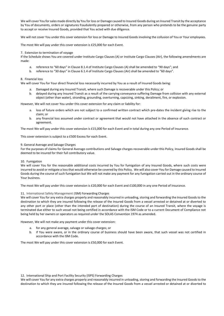We will cover You for sales made directly by You for loss or Damage caused to Insured Goods during an Insured Transit by the acceptance by You of documents, orders or signatures fraudulently prepared or otherwise, from any person who pretends to be the genuine party to accept or receive Insured Goods, provided that You acted with due diligence.

We will not cover You under this cover extension for loss or Damage to Insured Goods involving the collusion of You or Your employees.

The most We will pay under this cover extension is £25,000 for each Event.

7. Extension to termination of voyage

If the Schedule shows You are covered under Institute Cargo Clauses (A) or Institute Cargo Clauses (Air), the following amendments are made:

- a. reference to "60 days" in Clause 8.1.4 of Institute Cargo Clauses (A) shall be amended to "90 days"; and
- b. reference to "30 days" in Clause 6.1.4 of Institute Cargo Clauses (Air) shall be amended to "60 days".

#### 8. Financial loss

We will cover You for Your direct financial loss necessarily incurred by You as a result of Insured Goods being:

- a. Damaged during any Insured Transit, where such Damage is recoverable under this Policy; or
- b. delayed during any Insured Transit as a result of the carrying conveyance suffering Damage from collision with any external object (other than water), stranding, grounding, overturning, capsizing, sinking, derailment, fire, or explosion.

However, We will not cover You under this cover extension for any claim or liability for:

- a. loss of future orders which are not subject to a confirmed written contract which pre-dates the incident giving rise to the claim; or
- b. any financial loss assumed under contract or agreement that would not have attached in the absence of such contract or agreement.

The most We will pay under this cover extension is £15,000 for each Event and in total during any one Period of Insurance.

This cover extension is subject to a £500 Excess for each Event.

#### 9. General Average and Salvage Charges

For the purposes of claims for General Average contributions and Salvage charges recoverable under this Policy, Insured Goods shall be deemed to be insured for their full contributory value.

#### 10. Fumigation

We will cover You for the reasonable additional costs incurred by You for fumigation of any Insured Goods, where such costs were incurred to avoid or mitigate a loss that would otherwise be covered by this Policy. We will also cover You for Damage caused to Insured Goods during the course of such fumigation but We will not make any payment for any fumigation carried out in the ordinary course of Your business.

The most We will pay under this cover extension is £20,000 for each Event and £100,000 in any one Period of Insurance.

#### 11. International Safety Management (ISM) Forwarding Charges

We will cover You for any extra charges properly and reasonably incurred in unloading, storing and forwarding the Insured Goods to the destination to which they are insured following the release of the Insured Goods from a vessel arrested or detained at or diverted to any other port or place (other than the intended port of destination) during the course of an Insured Transit, where the voyage is terminated due either to such vessel not being certified in accordance with the ISM Code or to a current Document of Compliance not being held by her owners or operators as required under the SOLAS Convention 1974 as amended.

However, We will not make any payment under this cover extension:

- a. for any general average, salvage or salvage charges; or
- b. if You were aware, or in the ordinary course of business should have been aware, that such vessel was not certified in accordance with the ISM Code.

The most We will pay under this cover extension is £50,000 for each Event.

#### 12. International Ship and Port Facility Security (ISPS) Forwarding Charges

We will cover You for any extra charges properly and reasonably incurred in unloading, storing and forwarding the Insured Goods to the destination to which they are insured following the release of the Insured Goods from a vessel arrested or detained at or diverted to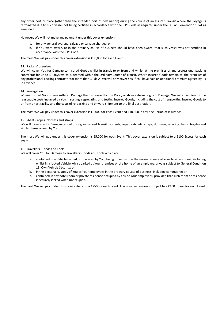any other port or place (other than the intended port of destination) during the course of an Insured Transit where the voyage is terminated due to such vessel not being certified in accordance with the ISPS Code as required under the SOLAS Convention 1974 as amended.

However, We will not make any payment under this cover extension:

- a. for any general average, salvage or salvage charges; or
- b. if You were aware, or in the ordinary course of business should have been aware, that such vessel was not certified in accordance with the ISPS Code.

The most We will pay under this cover extension is £50,000 for each Event.

#### 13. Packers' premises

We will cover You for Damage to Insured Goods whilst in transit to or from and whilst at the premises of any professional packing contractor for up to 30 days which is deemed within the Ordinary Course of Transit. Where Insured Goods remain at the premises of any professional packing contractor for more than 30 days, We will only cover You if You have paid an additional premium agreed by Us in advance.

#### 14. Segregation

Where Insured Goods have suffered Damage that is covered by this Policy or show external signs of Damage, We will cover You for the reasonable costs incurred by You in sorting, segregating and testing Insured Goods, including the cost of transporting Insured Goods to or from a test facility and the costs of re-packing and onward shipment to the final destination.

The most We will pay under this cover extension is £5,000 for each Event and £10,000 in any one Period of Insurance.

#### 15. Sheets, ropes, ratchets and straps

We will cover You for Damage caused during an Insured Transit to sheets, ropes, ratchets, straps, dunnage, securing chains, toggles and similar items owned by You.

The most We will pay under this cover extension is £5,000 for each Event. This cover extension is subject to a £100 Excess for each Event.

#### 16. Travellers' Goods and Tools

We will cover You for Damage to Travellers' Goods and Tools which are:

- a. contained in a Vehicle owned or operated by You, being driven within the normal course of Your business hours, including whilst in a locked Vehicle whilst parked at Your premises or the home of an employee; always subject to General Condition 19. Own Vehicle Security; or
- b. in the personal custody of You or Your employees in the ordinary course of business, including commuting; or
- c. contained in any hotel room or private residence occupied by You or Your employees, provided that such room or residence is securely locked when unoccupied.

The most We will pay under this cover extension is £750 for each Event. This cover extension is subject to a £100 Excess for each Event.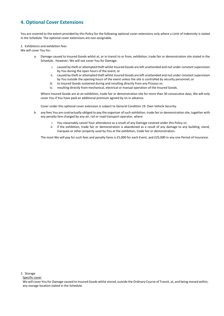### <span id="page-15-0"></span>**4. Optional Cover Extensions**

You are covered to the extent provided by this Policy for the following optional cover extensions only where a Limit of Indemnity is stated in the Schedule. The optional cover extensions are non-assignable.

1. Exhibitions and exhibition fees We will cover You for:

- a. Damage caused to Insured Goods whilst at, or in transit to or from, exhibition, trade fair or demonstration site stated in the Schedule. However, We will not cover You for Damage:
	- i. caused by theft or attempted theft whilst Insured Goods are left unattended and not under constant supervision by You during the open hours of the event; or
	- ii. caused by theft or attempted theft whilst Insured Goods are left unattended and not under constant supervision by You outside the opening hours of the event unless the site is controlled by security personnel; or
	- iii. to Insured Goods sustained during and resulting directly from any Process or;
	- iv. resulting directly from mechanical, electrical or manual operation of the Insured Goods.

Where Insured Goods are at an exhibition, trade fair or demonstration site for more than 30 consecutive days, We will only cover You if You have paid an additional premium agreed by Us in advance.

Cover under this optional cover extension is subject to General Condition 19. Own Vehicle Security.

- b. any fees You are contractually obliged to pay the organiser of such exhibition, trade fair or demonstration site, together with any penalty fare charged by any air, rail or road transport operator, where
	- i. You reasonably cancel Your attendance as a result of any Damage covered under this Policy or;
	- ii. if the exhibition, trade fair or demonstration is abandoned as a result of any damage to any building, stand, marquee or other property used by You at the exhibition, trade fair or demonstration.

The most We will pay for such fees and penalty fares is £5,000 for each Event, and £25,000 in any one Period of Insurance.

2. Storage

Specific cover

We will cover You for Damage caused to Insured Goods whilst stored, outside the Ordinary Course of Transit, at, and being moved within, any storage location stated in the Schedule.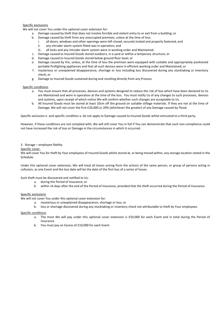#### Specific exclusions

We will not cover You under this optional cover extension for:

- a. Damage caused by theft that does not involve forcible and violent entry to or exit from a building; or
- b. Damage caused by theft from any unoccupied premises, unless at the time of loss:
	- i. all doors, windows and other openings were left closed, securely locked and properly fastened; and
	- ii. any intruder alarm system fitted was in operation; and
	- iii. all locks and any intruder alarm system were in working order and Maintained.
- c. Damage caused to Insured Goods stored outdoors, in a yard or within a temporary structure; or
- d. Damage caused to Insured Goods stored below ground floor level; or
- e. Damage caused by fire, unless, at the time of loss the premises were equipped with suitable and appropriately positioned portable firefighting appliances and that all such devices were in efficient working order and Maintained; or
- f. mysterious or unexplained disappearance, shortage or loss including loss discovered during any stocktaking or inventory check; or
- g. Damage to Insured Goods sustained during and resulting directly from any Process.

#### Specific conditions

- a. You must ensure that all processes, devices and systems designed to reduce the risk of loss which have been declared to Us are Maintained and were in operation at the time of the loss. You must notify Us of any changes to such processes, devices and systems, upon receipt of which notice We will confirm whether such changes are acceptable to Us.
- b. All Insured Goods must be stored at least 10cm off the ground on suitable stillage materials. If they are not at the time of Damage, We will not cover the first £20,000 or 20% (whichever the greater) of any Damage caused by Flood.

Specific exclusion e. and specific condition a. do not apply to Damage caused to Insured Goods whilst entrusted to a third party.

However, if these conditions are not complied with, We will still cover You in full if You can demonstrate that such non-compliance could not have increased the risk of loss or Damage in the circumstances in which it occurred.

#### 3. Storage – employee fidelity

#### Specific cover:

We will cover You for theft by Your employees of Insured Goods whilst stored at, or being moved within, any storage location stated in the Schedule.

Under this optional cover extension, We will treat all losses arising from the actions of the same person, or group of persons acting in collusion, as one Event and the loss date will be the date of the first loss of a series of losses.

Such theft must be discovered and notified to Us:

- a. during the Period of Insurance; or
	- b. within 14 days after the end of the Period of Insurance, provided that the theft occurred during the Period of Insurance.

#### Specific exclusions

We will not cover You under this optional cover extension for:

- a. mysterious or unexplained disappearance, shortage or loss; or
- b. loss or shortage discovered during any stocktaking or inventory check not attributable to theft by Your employees.

#### Specific conditions

- a. The most We will pay under this optional cover extension is £50,000 for each Event and in total during the Period of Insurance.
- b. You must pay an Excess of £10,000 for each Event.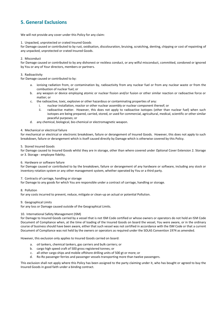### <span id="page-17-0"></span>**5. General Exclusions**

We will not provide any cover under this Policy for any claim:

#### 1. Unpacked, unprotected or crated Insured Goods

for Damage caused or contributed to by rust, oxidisation, discolouration, bruising, scratching, denting, chipping or cost of repainting of any unpacked, unprotected or crated Insured Goods.

#### 2. Misconduct

for Damage caused or contributed to by any dishonest or reckless conduct, or any wilful misconduct, committed, condoned or ignored by You or any of Your directors, members or partners.

#### 3. Radioactivity

for Damage caused or contributed to by:

- a. ionising radiation from, or contamination by, radioactivity from any nuclear fuel or from any nuclear waste or from the combustion of nuclear fuel; or
- b. any weapon or device employing atomic or nuclear fission and/or fusion or other similar reaction or radioactive force or matter; or
- c. the radioactive, toxic, explosive or other hazardous or contaminating properties of any:
	- i. nuclear installation, reactor or other nuclear assembly or nuclear component thereof; or
	- ii. radioactive matter. However, this does not apply to radioactive isotopes (other than nuclear fuel) when such isotopes are being prepared, carried, stored, or used for commercial, agricultural, medical, scientific or other similar peaceful purposes; or
- d. any chemical, biological, bio-chemical or electromagnetic weapon.

#### 4. Mechanical or electrical failure

for mechanical or electrical or electronic breakdown, failure or derangement of Insured Goods. However, this does not apply to such breakdown, failure or derangement which is itself caused directly by Damage which is otherwise covered by this Policy.

#### 5. Stored Insured Goods

for Damage caused to Insured Goods whilst they are in storage, other than where covered under Optional Cover Extension 2. Storage or 3. Storage - employee fidelity.

#### 6. Hardware or software failure

for Damage caused or contributed to by the breakdown, failure or derangement of any hardware or software, including any stock or inventory rotation system or any other management system, whether operated by You or a third party.

#### 7. Contracts of carriage, handling or storage

for Damage to any goods for which You are responsible under a contract of carriage, handling or storage.

#### 8. Pollution

for any costs incurred to prevent, reduce, mitigate or clean-up an actual or potential Pollution.

9. Geographical Limits

for any loss or Damage caused outside of the Geographical Limits.

#### 10. International Safety Management (ISM)

for Damage to Insured Goods carried by a vessel that is not ISM Code certified or whose owners or operators do not hold an ISM Code Document of Compliance when, at the time of loading of the Insured Goods on board the vessel, You were aware, or in the ordinary course of business should have been aware, either that such vessel was not certified in accordance with the ISM Code or that a current Document of Compliance was not held by the owners or operators as required under the SOLAS Convention 1974 as amended.

However, this exclusion only applies to Insured Goods carried on board:

- a. oil tankers, chemical tankers, gas carriers and bulk carriers; or
- b. cargo high speed craft of 500 gross registered tonnes; or
- c. all other cargo ships and mobile offshore drilling units of 500 gt or more; or
- d. Ro-Ro passenger ferries and passenger vessels transporting more than twelve passengers.

This exclusion shall not apply where this Policy has been assigned to the party claiming under it, who has bought or agreed to buy the Insured Goods in good faith under a binding contract.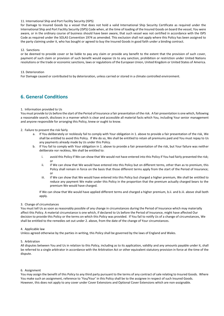#### 11. International Ship and Port Facility Security (ISPS)

for Damage to Insured Goods by a vessel that does not hold a valid International Ship Security Certificate as required under the International Ship and Port Facility Security (ISPS) Code when, at the time of loading of the Insured Goods on board the vessel, You were aware, or in the ordinary course of business should have been aware, that such vessel was not certified in accordance with the ISPS Code as required under the SOLAS Convention 1974 as amended. This exclusion shall not apply where this Policy has been assigned to the party claiming under it, who has bought or agreed to buy the Insured Goods in good faith under a binding contract.

#### 12. Sanctions

or be deemed to provide cover or be liable to pay any claim or provide any benefit to the extent that the provision of such cover, payment of such claim or provision of such benefit would expose Us to any sanction, prohibition or restriction under United Nations resolutions or the trade or economic sanctions, laws or regulations of the European Union, United Kingdom or United States of America.

#### 13. Deterioration

For Damage caused or contributed to by deterioration, unless carried or stored in a climate controlled environment.

### <span id="page-18-0"></span>**6. General Conditions**

#### 1. Information provided to Us

You must provide to Us before the start of the Period of Insurance a fair presentation of the risk. A fair presentation is one which, following a reasonable search, discloses in a manner which is clear and accessible all material facts which You, including Your senior management and anyone responsible for arranging this Policy, knew or ought to know.

#### 2. Failure to present the risk fairly

- a. If You deliberately or recklessly fail to comply with Your obligation in 1. above to provide a fair presentation of the risk, We shall be entitled to avoid this Policy. If We do so, We shall be entitled to retain all premiums paid and You must repay to Us any payments already made by Us under this Policy.
- b. If You fail to comply with Your obligation in 1. above to provide a fair presentation of the risk, but Your failure was neither deliberate nor reckless, We shall be entitled to:
	- i. avoid this Policy if We can show that We would not have entered into this Policy if You had fairly presented the risk; or
	- ii. if We can show that We would have entered into this Policy but on different terms, other than as to premium, this Policy shall remain in force on the basis that those different terms apply from the start of the Period of Insurance; or
	- iii. if We can show that We would have entered into this Policy but charged a higher premium, We shall be entitled to reduce any payment We make under this Policy in the proportion that the premium actually charged bears to the premium We would have charged.

If We can show that We would have applied different terms and charged a higher premium, b.ii. and b.iii. above shall both apply.

#### 3. Change of circumstances

You must tell Us as soon as reasonably possible of any change in circumstances during the Period of Insurance which may materially affect this Policy. A material circumstance is one which, if declared to Us before the Period of Insurance, might have affected Our decision to provide this Policy or the terms on which this Policy was provided. If You fail to notify Us of a change of circumstances, We shall be entitled to the remedies set out under 2. above, from the date of the change of Your circumstances.

#### 4. Applicable law

Unless agreed otherwise by the parties in writing, this Policy shall be governed by the laws of England and Wales.

#### 5. Arbitration

All disputes between You and Us in relation to this Policy, including as to its application, validity and any amounts payable under it, shall be referred to a single arbitrator in accordance with the Arbitration Act or other equivalent statutory provision in force at the time of the dispute.

#### 6. Assignment

You may assign the benefit of this Policy to any third party pursuant to the terms of any contract of sale relating to Insured Goods. Where You make such an assignment, reference to 'You/Your' in this Policy shall be to the assignee in respect of such Insured Goods. However, this does not apply to any cover under Cover Extensions and Optional Cover Extensions which are non-assignable.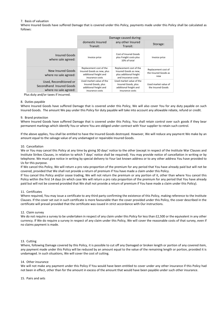#### 7. Basis of valuation

Where Insured Goods have suffered Damage that is covered under this Policy, payments made under this Policy shall be calculated as follows:

|                                                                             | Damage caused during:                                                                              |                                                                                                    |                                                    |
|-----------------------------------------------------------------------------|----------------------------------------------------------------------------------------------------|----------------------------------------------------------------------------------------------------|----------------------------------------------------|
|                                                                             | domestic Insured<br>Transit:                                                                       | any other Insured<br>Transit:                                                                      | Storage:                                           |
| Insured Goods<br>where sale agreed:                                         | Invoice price                                                                                      | Cost of Insured Goods<br>plus Freight costs plus<br>10% of total                                   | Invoice price                                      |
| New Insured Goods<br>where no sale agreed:                                  | Replacement cost of the<br>Insured Goods as new, plus<br>additional freight and<br>insurance costs | Replacement cost of the<br>Insured Goods as new,<br>plus additional freight<br>and insurance costs | Replacement cost of<br>the Insured Goods as<br>new |
| Used, Reconditioned or<br>Secondhand Insured Goods<br>where no sale agreed: | Used market value of the<br>Insured Goods, plus<br>additional freight and<br>insurance costs       | Used market value of the<br>Insured Goods, plus<br>additional freight and<br>insurance costs       | Used market value of<br>the Insured Goods          |

Plus duty and/or taxes if incurred.

#### 8. Duties payable

Where Insured Goods have suffered Damage that is covered under this Policy, We will also cover You for any duty payable on such Insured Goods. The amount We pay under this Policy for duty payable will take into account any allowable rebate, refund or credit.

#### 9. Brand protection

Where Insured Goods have suffered Damage that is covered under this Policy, You shall retain control over such goods if they bear permanent markings which identify You or where You are obliged under contract with Your supplier to retain such control.

If the above applies, You shall be entitled to have the Insured Goods destroyed. However, We will reduce any payment We make by an amount equal to the salvage value of any undamaged or repairable Insured Goods.

#### 10. Cancellation

We or You may cancel this Policy at any time by giving 30 days' notice to the other (except in respect of the Institute War Clauses and Institute Strikes Clauses, in relation to which 7 days' notice shall be required). You may provide notice of cancellation in writing or by telephone. We must give notice in writing by special delivery to Your last known address or to any other address You have provided to Us for this purpose.

If We cancel this Policy, We will return a pro rata proportion of the premium for any period that You have already paid but will not be covered, provided that We shall not provide a return of premium if You have made a claim under this Policy.

If You cancel this Policy and/or cease trading, We will not return the premium or any portion of it, other than where You cancel this Policy within the first 14 days (in which case We will return a pro rata proportion of the premium for any period that You have already paid but will not be covered provided that We shall not provide a return of premium if You have made a claim under this Policy).

#### 11. Certificates

Where required, You may issue a certificate to any third party confirming the existence of this Policy, making reference to the Institute Clauses. If the cover set out in such certificate is more favourable than the cover provided under this Policy, the cover described in the certificate will prevail provided that the certificate was issued in strict accordance with Our instructions.

#### 12. Claim survey

We do not require a survey to be undertaken in respect of any claim under this Policy for less than £2,500 or the equivalent in any other currency. If We do require a survey in respect of any claim under this Policy, We will cover the reasonable costs of that survey, even if no claims payment is made.

#### 13. Cutting

Where, following Damage covered by this Policy, it is possible to cut off any Damaged or broken length or portion of any covered item, any payment made under this Policy will be reduced by an amount equal to the value of the remaining length or portion, provided it is undamaged. In such situations, We will cover the cost of cutting.

#### 14. Other insurance

We will not make any payment under this Policy if You would have been entitled to cover under any other insurance if this Policy had not been in effect, other than for the amount in excess of the amount that would have been payable under such other insurance.

#### 15. Pairs and sets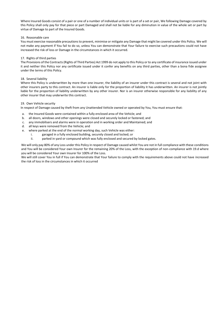Where Insured Goods consist of a pair or one of a number of individual units or is part of a set or pair, We following Damage covered by this Policy shall only pay for that piece or part Damaged and shall not be liable for any diminution in value of the whole set or part by virtue of Damage to part of the Insured Goods.

#### 16. Reasonable care

You must exercise reasonable precautions to prevent, minimise or mitigate any Damage that might be covered under this Policy. We will not make any payment if You fail to do so, unless You can demonstrate that Your failure to exercise such precautions could not have increased the risk of loss or Damage in the circumstances in which it occurred.

#### 17. Rights of third parties

The Provisions of the Contracts (Rights of Third Parties) Act 1999 do not apply to this Policy or to any certificate of insurance issued under it and neither this Policy nor any certificate issued under it confer any benefits on any third parties, other than a bona fide assignee under the terms of this Policy.

#### 18. Several liability

Where this Policy is underwritten by more than one insurer, the liability of an insurer under this contract is several and not joint with other insurers party to this contract. An insurer is liable only for the proportion of liability it has underwritten. An insurer is not jointly liable for the proportion of liability underwritten by any other insurer. Nor is an insurer otherwise responsible for any liability of any other insurer that may underwrite this contract.

#### 19. Own Vehicle security

In respect of Damage caused by theft from any Unattended Vehicle owned or operated by You, You must ensure that:

- a. the Insured Goods were contained within a fully enclosed area of the Vehicle; and
- b. all doors, windows and other openings were closed and securely locked or fastened; and
- c. any immobilisers and alarms were in operation and in working order and Maintained; and
- d. all keys were removed from the Vehicle; and
- e. where parked at the end of the normal working day, such Vehicle was either:
	- i. garaged in a fully enclosed building, securely closed and locked; or
	- ii. parked in yard or compound which was fully enclosed and secured by locked gates.

We will only pay 80% of any Loss under this Policy in respect of Damage caused whilst You are not in full compliance with these conditions and You will be considered Your own Insurer for the remaining 20% of the Loss, with the exception of non-compliance with 19.d where you will be considered Your own Insurer for 100% of the Loss.

We will still cover You in full if You can demonstrate that Your failure to comply with the requirements above could not have increased the risk of loss in the circumstances in which it occurred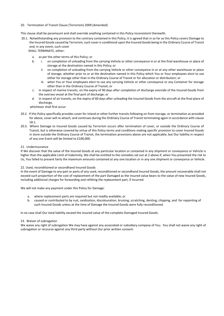#### 20. Termination of Transit Clause (Terrorism) 2009 (Amended)

This clause shall be paramount and shall override anything contained in this Policy inconsistent therewith.

- 20.1. Notwithstanding any provision to the contrary contained in this Policy, it is agreed that in so far as this Policy covers Damage to the Insured Goods caused by Terrorism, such cover is conditional upon the Insured Goods being in the Ordinary Course of Transit and, in any event, such cover
	- SHALL TERMINATE, either:
		- a. as per the other terms of this Policy; or
		- b. i. on completion of unloading from the carrying Vehicle or other conveyance in or at the final warehouse or place of storage at the destination named in this Policy; or
			- ii. on completion of unloading from the carrying Vehicle or other conveyance in or at any other warehouse or place of storage, whether prior to or at the destination named in this Policy which You or Your employees elect to use either for storage other than in the Ordinary Course of Transit or for allocation or distribution; or
			- iii. when You or Your employees elect to use any carrying Vehicle or other conveyance or any Container for storage other than in the Ordinary Course of Transit; or
		- c. in respect of marine transits, on the expiry of 90 days after completion of discharge overside of the Insured Goods from the oversea vessel at the final port of discharge; or
		- d. in respect of air transits, on the expiry of 60 days after unloading the Insured Goods from the aircraft at the final place of discharge,

whichever shall first occur.

- 20.2. If this Policy specifically provides cover for inland or other further transits following on from storage, or termination as provided for above, cover will re-attach, and continues during the Ordinary Course of Transit terminating again in accordance with clause 18.1.
- 20.3. Where Damage to Insured Goods caused by Terrorism occurs after termination of cover, or outside the Ordinary Course of Transit, but is otherwise covered by virtue of this Policy terms and conditions making specific provision to cover Insured Goods in store outside the Ordinary Course of Transit, the termination provisions above are not applicable, but Our liability in respect of any one Event will be limited to £100,000.

#### 21. Underinsurance

If We discover that the value of the Insured Goods at any particular location or contained in any shipment or conveyance or Vehicle is higher than the applicable Limit of Indemnity, We shall be entitled to the remedies set out at 2 above if, when You presented the risk to Us, You failed to present fairly the maximum amounts contained at any one location or in any one shipment or conveyance or Vehicle.

#### 22. Used, reconditioned or secondhand Insured Goods

In the event of Damage to any part or parts of any used, reconditioned or secondhand Insured Goods, the amount recoverable shall not exceed such proportion of the cost of replacement of the part Damaged as the insured value bears to the value of new Insured Goods, including additional charges for forwarding and refitting the replacement part, if incurred.

We will not make any payment under this Policy for Damage:

- a. where replacement parts are required but not readily available; or
- b. caused or contributed to by rust, oxidisation, discolouration, bruising, scratching, denting, chipping, and for repainting of such Insured Goods unless at the time of Damage the Insured Goods were fully reconditioned.

In no case shall Our total liability exceed the insured value of the complete Damaged Insured Goods.

#### 23. Waiver of subrogation

We waive any right of subrogation We may have against any associated or subsidiary company of You. You shall not waive any right of subrogation or recourse against any third party without Our prior written consent.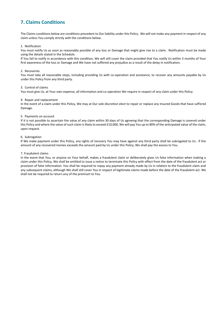### <span id="page-22-0"></span>**7. Claims Conditions**

The Claims conditions below are conditions precedent to Our liability under this Policy. We will not make any payment in respect of any claim unless You comply strictly with the conditions below.

#### 1. Notification

You must notify Us as soon as reasonably possible of any loss or Damage that might give rise to a claim. Notification must be made using the details stated in the Schedule.

If You fail to notify in accordance with this condition, We will still cover the claim provided that You notify Us within 3 months of Your first awareness of the loss or Damage and We have not suffered any prejudice as a result of the delay in notification.

#### 2. Recoveries

You must take all reasonable steps, including providing Us with co-operation and assistance, to recover any amounts payable by Us under this Policy from any third party.

#### 3. Control of claims

You must give Us, at Your own expense, all information and co-operation We require in respect of any claim under this Policy.

#### 4. Repair and replacement

In the event of a claim under this Policy, We may at Our sole discretion elect to repair or replace any Insured Goods that have suffered Damage.

#### 5. Payments on account

If it is not possible to ascertain the value of any claim within 30 days of Us agreeing that the corresponding Damage is covered under this Policy and where the value of such claim is likely to exceed £10,000, We will pay You up to 80% of the anticipated value of the claim, upon request.

#### 6. Subrogation

If We make payment under this Policy, any rights of recovery You may have against any third party shall be subrogated to Us. If the amount of any recovered monies exceeds the amount paid by Us under this Policy, We shall pay the excess to You.

#### 7. Fraudulent claims

In the event that You, or anyone on Your behalf, makes a fraudulent claim or deliberately gives Us false information when making a claim under this Policy, We shall be entitled to issue a notice to terminate this Policy with effect from the date of the fraudulent act or provision of false information. You shall be required to repay any payment already made by Us in relation to the fraudulent claim and any subsequent claims, although We shall still cover You in respect of legitimate claims made before the date of the fraudulent act. We shall not be required to return any of the premium to You.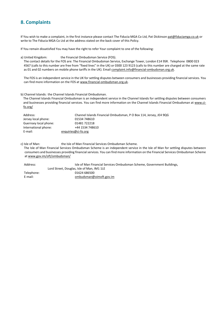### <span id="page-23-0"></span>**8. Complaints**

If You wish to make a complaint, in the first instance please contact The Fiducia MGA Co Ltd, Pat Dickinson [pat@fiduciamga.co.uk](mailto:pat@fiduciamga.co.uk) or write to The Fiducia MGA Co Ltd at the address stated on the back cover of this Policy.

If You remain dissatisfied You may have the right to refer Your complaint to one of the following:

a) United Kingdom: the Financial Ombudsman Service (FOS).

The contact details for the FOS are: The Financial Ombudsman Service, Exchange Tower, London E14 9SR. Telephone 0800 023 4567 (calls to this number are free from "fixed lines" in the UK) or 0300 123 9123 (calls to this number are charged at the same rate as 01 and 02 numbers on mobile phone tariffs in the UK). Emai[l complaint.info@financial-ombudsman.org.uk.](mailto:complaint.info@financial-ombudsman.org.uk)

The FOS is an independent service in the UK for settling disputes between consumers and businesses providing financial services. You can find more information on the FOS at [www.financial-ombudsman.org.uk.](http://www.financial-ombudsman.org.uk/)

b) Channel Islands: the Channel Islands Financial Ombudsman.

The Channel Islands Financial Ombudsman is an independent service in the Channel Islands for settling disputes between consumers and businesses providing financial services. You can find more information on the Channel Islands Financial Ombudsman at [www.ci](http://www.ci-fo.org/)[fo.org/](http://www.ci-fo.org/)

| Address:              | Channel Islands Financial Ombudsman, P O Box 114, Jersey, JE4 9QG |
|-----------------------|-------------------------------------------------------------------|
| Jersey local phone:   | 01534 748610                                                      |
| Guernsey local phone: | 01481722218                                                       |
| International phone:  | +44 1534 748610                                                   |
| E-mail:               | enquiries@ci-fo.org                                               |

c) Isle of Man: the Isle of Man Financial Services Ombudsman Scheme. The Isle of Man Financial Services Ombudsman Scheme is an independent service in the Isle of Man for settling disputes between consumers and businesses providing financial services. You can find more information on the Financial Services Ombudsman Scheme at [www.gov.im/oft/ombudsman/](http://www.gov.im/oft/ombudsman/)

Address: Internal or Scheme Isle of Man Financial Services Ombudsman Scheme, Government Buildings, Lord Street, Douglas, Isle of Man, IM1 1LE Telephone: 01624 686500 E-mail: c[ombudsman@oimoft.gov.im](mailto:ombudsman@oimoft.gov.im)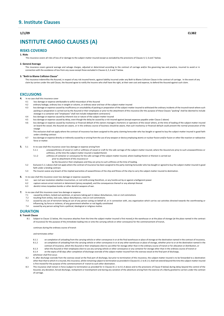### <span id="page-24-0"></span>**9. Institute Clauses**

#### **1/1/09 CL382**

## **INSTITUTE CARGO CLAUSES (A)**

#### **RISKS COVERED**

**1. Risks**

This insurance covers all risks of loss of or damage to the subject-matter insured except as excluded by the provisions of Clauses 4, 5, 6 and 7 below.

#### **2. General Average**

This insurance covers general average and salvage charges, adjusted or determined according to the contract of carriage and/or the governing law and practice, incurred to avoid or in connection with the avoidance of loss from any cause except those excluded in Clauses 4**,** 5, 6 and 7 below.

#### **3. "Both to Blame Collision Clause"**

This insurance indemnifies the Assured, in respect of any risk insured herein, against liability incurred under any Both to Blame Collision Clause in the contract of carriage. In the event of any claim by carriers under the said Clause, the Assured agree to notify the Insurers who shall have the right, at their own cost and expense, to defend the Assured against such claim.

#### **EXCLUSIONS**

- **4.** In no case shall this insurance cover
	- 4.1 loss damage or expense attributable to wilful misconduct of the Assured
	- 4.2 ordinary leakage, ordinary loss in weight or volume, or ordinary wear and tear of the subject-matter insured
	- 4.3 loss damage or expense caused by insufficiency or unsuitability of packing or preparation of the subject-matter insured to withstand the ordinary incidents of the insured transit where such packing or preparation is carried out by the Assured or their employees or prior to the attachment of this insurance (for the purpose of these Clauses "packing" shall be deemed to include stowage in a container and "employees" shall not include independent contractors)
	- 4.4 loss damage or expense caused by inherent vice or nature of the subject-matter insured
	- 4.5 loss damage or expense caused by delay, even though the delay be caused by a risk insured against (except expenses payable under Clause 2 above)
	- 4.6 loss damage or expense caused by insolvency or financial default of the owners managers charterers or operators of the vessel where, at the time of loading of the subject-matter insured on board the vessel, the Assured are aware, or in the ordinary course of business should be aware, that such insolvency or financial default could prevent the normal prosecution of the voyage

This exclusion shall not apply where the contract of insurance has been assigned to the party claiming hereunder who has bought or agreed to buy the subject-matter insured in good faith under a binding contract

- 4.7 loss damage or expense directly or indirectly caused by or arising from the use of any weapon or device employing atomic or nuclear fission and/or fusion or other like reaction or radioactive force or matter.
- **5.** 5.1 In no case shall this insurance cover loss damage or expense arising from
	- 5.1.1 unseaworthiness of vessel or craft or unfitness of vessel or craft for the safe carriage of the subject-matter insured, where the Assured are privy to such unseaworthiness or unfitness, at the time the subject-matter insured is loaded therein
		- 5.1.2 unfitness of container or conveyance for the safe carriage of the subject-matter insured, where loading therein or thereon is carried out
		- prior to attachment of this insurance or
			- by the Assured or their employees and they are privy to such unfitness at the time of loading.
	- 5.2 Exclusion 5.1.1 above shall not apply where the contract of insurance has been assigned to the party claiming hereunder who has bought or agreed to buy the subject-matter insured in good faith under a binding contract.
	- 5.3 The Insurers waive any breach of the implied warranties of seaworthiness of the ship and fitness of the ship to carry the subject-matter insured to destination.
- **6.** In no case shall this insurance cover loss damage or expense caused by
	- 6.1 war civil war revolution rebellion insurrection, or civil strife arising therefrom, or any hostile act by or against a belligerent power
	- 6.2 capture seizure arrest restraint or detainment (piracy excepted), and the consequences thereof or any attempt thereat
	- 6.3 derelict mines torpedoes bombs or other derelict weapons of war.

**7.** In no case shall this insurance cover loss damage or expense

- 7.1 caused by strikers, locked-out workmen, or persons taking part in labour disturbances, riots or civil commotions<br>7.2 resulting from strikes, lock-outs, labour disturbances, riots or civil commotions
- 7.2 resulting from strikes, lock-outs, labour disturbances, riots or civil commotions
- 7.3 caused by any act of terrorism being an act of any person acting on behalf of, or in connection with, any organisation which carries out activities directed towards the overthrowing or<br>influencing, by force or violence
- 7.4 caused by any person acting from a political, ideological or religious motive.

### **DURATION**

#### **8. Transit Clause**

8.1 Subject to Clause 11 below, this insurance attaches from the time the subject-matter insured is first moved in the warehouse or at the place of storage (at the place named in the contract of insurance) for the purpose of the immediate loading into or onto the carrying vehicle or other conveyance for the commencement of transit,

continues during the ordinary course of transit

and terminates either

- 8.1.1 on completion of unloading from the carrying vehicle or other conveyance in or at the final warehouse or place of storage at the destination named in the contract of insurance, 8.1.2 on completion of unloading from the carrying vehicle or other conveyance in or at any other warehouse or place of storage, whether prior to or at the destination named in the contract of insurance, which the Assured or their employees elect to use either for storage other than in the ordinary course of transit or for allocation or distribution, or
- 8.1.3 when the Assured or their employees elect to use any carrying vehicle or other conveyance or any container for storage other than in the ordinary course of transit or<br>8.1.4 on the expiry of 60 days after completion o 8.1.4 on the expiry of 60 days after completion of discharge overside of the subject-matter insured from the oversea vessel at the final port of discharge,
- whichever shall first occur.
- 8.2 If, after discharge overside from the oversea vessel at the final port of discharge, but prior to termination of this insurance, the subject-matter insured is to be forwarded to a destination other than that to which it is insured, this insurance, whilst remaining subject to termination as provided in Clauses 8.1.1 to 8.1.4, shall not extend beyond the time the subject-matter insured is first moved for the purpose of the commencement of transit to such other destination.
- 8.3 This insurance shall remain in force (subject to termination as provided for in Clauses 8.1.1 to 8.1.4 above and to the provisions of Clause 9 below) during delay beyond the control of the Assured, any deviation, forced discharge, reshipment or transhipment and during any variation of the adventure arising from the exercise of a liberty granted to carriers under the contract of carriage.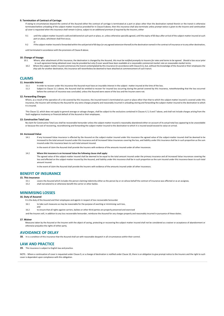#### **9. Termination of Contract of Carriage**

If owing to circumstances beyond the control of the Assured either the contract of carriage is terminated at a port or place other than the destination named therein or the transit is otherwise terminated before unloading of the subject-matter insured as provided for in Clause 8 above, then this insurance shall also terminate *unless prompt notice is given to the Insurers and continuation of cover is requested when this insurance shall remain in force, subject to an additional premium if required by the Insurers*, either

- until the subject-matter insured is sold and delivered at such port or place, or, unless otherwise specially agreed, until the expiry of 60 days after arrival of the subject-matter insured at such port or place, whichever shall first occur,
- or<br>9.2 if the subject-matter insured is forwarded within the said period of 60 days (or any agreed extension thereof) to the destination named in the contract of insurance or to any other destination,

until terminated in accordance with the provisions of Clause 8 above.

#### **10. Change of Voyage**

- 10.1 Where, after attachment of this insurance, the destination is changed by the Assured, *this must be notified promptly to Insurers for rates and terms to be agreed. Should a loss occur prior to such agreement being obtained cover may be provided but only if cover would have been available at a reasonable commercial market rate on reasonable market terms.*
- 10.2 Where the subject-matter insured commences the transit contemplated by this insurance (in accordance with Clause 8.1), but, without the knowledge of the Assured or their employees the ship sails for another destination, this insurance will nevertheless be deemed to have attached at commencement of such transit.

#### **CLAIMS**

#### **11. Insurable Interest**

- 11.1 In order to recover under this insurance the Assured must have an insurable interest in the subject- matter insured at the time of the loss.<br>11.2 Subject to Clause 11.1 above, the Assured shall be entitled to recover
- Subject to Clause 11.1 above, the Assured shall be entitled to recover for insured loss occurring during the period covered by this insurance, notwithstanding that the loss occurred before the contract of insurance was concluded, unless the Assured were aware of the loss and the Insurers were not.

#### **12. Forwarding Charges**

Where, as a result of the operation of a risk covered by this insurance, the insured transit is terminated at a port or place other than that to which the subject-matter insured is covered under this insurance, the Insurers will reimburse the Assured for any extra charges properly and reasonably incurred in unloading storing and forwarding the subject-matter insured to the destination to which it is insured.

This Clause 12, which does not apply to general average or salvage charges, shall be subject to the exclusions contained in Clauses 4, 5, 6 and 7 above, and shall not include charges arising from the fault negligence insolvency or financial default of the Assured or their employees.

#### **13. Constructive Total Loss**

No claim for Constructive Total Loss shall be recoverable hereunder unless the subject-matter insured is reasonably abandoned either on account of its actual total loss appearing to be unavoidable or because the cost of recovering, reconditioning and forwarding the subject-matter insured to the destination to which it is insured would exceed its value on arrival.

### **14. Increased Value**<br>14.1 **If any**

14.1 If any Increased Value insurance is effected by the Assured on the subject-matter insured under this insurance the agreed value of the subject-matter insured shall be deemed to be increased to the total amount insured under this insurance and all Increased Value insurances covering the loss, and liability under this insurance shall be in such proportion as the sum insured under this insurance bears to such total amount insured.

In the event of claim the Assured shall provide the Insurers with evidence of the amounts insured under all other insurances.

#### 14.2 **Where this insurance is on Increased Value the following clause shall apply:**

The agreed value of the subject-matter insured shall be deemed to be equal to the total amount insured under the primary insurance and all Increased Value insurances covering the<br>loss and effected on the subject-matter ins amount insured.

In the event of claim the Assured shall provide the Insurers with evidence of the amounts insured under all other insurances.

#### **BENEFIT OF INSURANCE**

### **15. This insurance**

- covers the Assured which includes the person claiming indemnity either as the person by or on whose behalf the contract of insurance was effected or as an assignee,
- 15.2 shall not extend to or otherwise benefit the carrier or other bailee.

#### **MINIMISING LOSSES**

and

#### **16. Duty of Assured**

- It is the duty of the Assured and their employees and agents in respect of loss recoverable hereunder
- 16.1 to take such measures as may be reasonable for the purpose of averting or minimising such loss,
- to ensure that all rights against carriers, bailees or other third parties are properly preserved and exercised
- and the Insurers will, in addition to any loss recoverable hereunder, reimburse the Assured for any charges properly and reasonably incurred in pursuance of these duties.

#### **17. Waiver**

Measures taken by the Assured or the Insurers with the object of saving, protecting or recovering the subject-matter insured shall not be considered as a waiver or acceptance of abandonment or otherwise prejudice the rights of either party.

#### **AVOIDANCE OF DELAY**

**18.** It is a condition of this insurance that the Assured shall act with reasonable despatch in all circumstances within their control.

#### **LAW AND PRACTICE**

**19.** This insurance is subject to English law and practice.

NOTE:- Where a continuation of cover is requested under Clause 9, or a change of destination is notified under Clause 10, there is an obligation to give prompt notice to the Insurers and the right to such cover is dependent upon compliance with this obligation.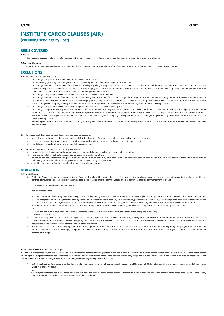### **INSTITUTE CARGO CLAUSES (AIR)**

**(excluding sendings by Post)**

#### **RISKS COVERED**

**1. Risks**

This insurance covers all risks of loss of or damage to the subject-matter insured except as excluded by the provisions of Clauses 3, 4 and 5 below.

#### **2. Salvage Charges**

This insurance covers salvage charges incurred to avoid or in connection with the avoidance of loss from any cause except those excluded in Clauses 3**,** 4 and 5 below.

#### **EXCLUSIONS**

- **3.** In no case shall this insurance cover
	- 3.1 loss damage or expense attributable to wilful misconduct of the Assured
	- 3.2 ordinary leakage, ordinary loss in weight or volume, or ordinary wear and tear of the subject-matter insured
	- 3.3 loss damage or expense caused by insufficiency or unsuitability of packing or preparation of the subject-matter insured to withstand the ordinary incidents of the insured transit where such packing or preparation is carried out by the Assured or their employees or prior to the attachment of this insurance (for the purpose of these Clauses "packing" shall be deemed to include stowage in a container and "employees" shall not include independent contractors)
	- 3.4 loss damage or expense caused by inherent vice or nature of the subject-matter insured
	- 3.5 loss damage or expense arising from unfitness of aircraft conveyance or container for the safe carriage of the subject-matter insured, where loading therein or thereon is carried out prior to attachment of this insurance or by the Assured or their employees and they are privy to such unfitness at the time of loading. This exclusion shall not apply where the contract of insurance has been assigned to the party claiming hereunder who has bought or agreed to buy the subject-matter insured in good faith under a binding contract.
	- 3.6 loss damage or expense caused by delay, even though the delay be caused by a risk insured against
	- 3.7 loss damage or expense caused by insolvency or financial default of the owners managers charterers or operators of the aircraft where, at the time of loading of the subject-matter insured on board the aircraft, the Assured are aware, or in the ordinary course of business should be aware, that such insolvency or financial default could prevent the normal prosecution of the transit This exclusion shall not apply where the contract of insurance has been assigned to the party claiming hereunder who has bought or agreed to buy the subject-matter insured in good faith under a binding contract
	- 3.8 loss damage or expense directly or indirectly caused by or arising from the use of any weapon or device employing atomic or nuclear fission and/or fusion or other like reaction or radioactive force or matter.

#### **4.** In no case shall this insurance cover loss damage or expense caused by

- 4.1 war civil war revolution rebellion insurrection, or civil strife arising therefrom, or any hostile act by or against a belligerent power
- 4.2 capture seizure arrest restraint or detainment (piracy excepted), and the consequences thereof or any attempt thereat
- 4.3 derelict mines torpedoes bombs or other derelict weapons of war.
- **5.** In no case shall this insurance cover loss damage or expense
	- 5.1 caused by strikers, locked-out workmen, or persons taking part in labour disturbances, riots or civil commotions
	- 5.2 resulting from strikes, lock-outs, labour disturbances, riots or civil commotions
	- 5.3 caused by any act of terrorism being an act of any person acting on behalf of, or in connection with, any organisation which carries out activities directed towards the overthrowing or influencing, by force or violence, of any government whether or not legally constituted
	- 5.4 caused by any person acting from a political, ideological or religious motive.

#### **DURATION**

#### **6. Transit Clause**

6.1 Subject to Clause 9 below, this insurance attaches from the time the subject-matter insured is first moved in the warehouse, premises or at the place of storage (at the place named in the contract of insurance) for the purpose of the immediate loading into or onto the carrying vehicle or other conveyance for the commencement of transit,

continues during the ordinary course of transit

and terminates either

- 6.1.1 on completion of unloading from the carrying vehicle or other conveyance in or at the final warehouse, premises or place of storage at the destination named in the contract of insurance, 6.1.2 on completion of unloading from the carrying vehicle or other conveyance in or at any other warehouse, premises or place of storage, whether prior to or at the destination named in the contract of insurance, which the Assured or their employees elect to use either for storage other than in the ordinary course of transit or for allocation or distribution, or
- 6.1.3 when the Assured or their employees elect to use any carrying vehicle or other conveyance or any container for storage other than in the ordinary course of transit
- or
- 6.1.4 on the expiry of 30 days after completion of unloading of the subject-matter insured from the aircraft at the final place of discharge,
- whichever shall first occur.
- 6.2 If, after unloading from the aircraft at the final place of discharge, but prior to termination of this insurance, the subject-matter insured is to be forwarded to a destination other than that to which it is insured, this insurance, whilst remaining subject to termination as provided in Clauses 6.1.1 to 6.1.4, shall not extend beyond the time the subject-matter insured is first moved for the purpose of the commencement of transit to such other destination.
- 6.3 This insurance shall remain in force (subject to termination as provided for in Clauses 6.1.1 to 6.1.4 above and to the provisions of Clause 7 below) during delay beyond the control of the Assured, any deviation, forced discharge, reshipment or transhipment and during any variation of the adventure arising from the exercise of a liberty granted to the air carriers under the contract of carriage.

#### **7. Termination of Contract of Carriage**

If owing to circumstances beyond the control of the Assured either the contract of carriage is terminated at a place other than the destination named therein or the transit is otherwise terminated before unloading of the subject-matter insured as provided for in Clause 6 above, then this insurance shall also terminate *unless prompt notice is given to the Insurers and continuation of cover is requested when this insurance shall remain in force, subject to an additional premium if required by the Insurers*, either

- 7.1 until the subject-matter insured is sold and delivered at such place, or, unless otherwise specially agreed, until the expiry of 30 days after arrival of the subject-matter insured at such place, whichever shall first occur, or
- 7.2 if the subject-matter insured is forwarded within the said period of 30 days (or any agreed extension thereof) to the destination named in the contract of insurance or to any other destination, until terminated in accordance with the provisions of Clause 6 above.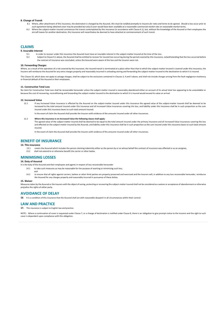#### **8. Change of Transit**

- 8.1 Where, after attachment of this insurance, the destination is changed by the Assured, *this must be notified promptly to Insurers for rates and terms to be gareed. Should a loss occur prior to such agreement being obtained cover may be provided but only if cover would have been available at a reasonable commercial market rate on reasonable market terms.*
- 8.2 Where the subject-matter insured commences the transit contemplated by this insurance (in accordance with Clause 6.1), but, without the knowledge of the Assured or their employees the aircraft leaves for another destination, this insurance will nevertheless be deemed to have attached at commencement of such transit.

#### **CLAIMS**

- **9. Insurable Interest**
	- 9.1 In order to recover under this insurance the Assured must have an insurable interest in the subject-matter insured at the time of the loss.
	- 9.2 Subject to Clause 9.1 above, the Assured shall be entitled to recover for insured loss occurring during the period covered by this insurance, notwithstanding that the loss occurred before the contract of insurance was concluded, unless the Assured were aware of the loss and the Insurers were not.

#### **10. Forwarding Charges**

Where, as a result of the operation of a risk covered by this insurance, the insured transit is terminated at a place other than that to which the subject-matter insured is covered under this insurance, the Insurers will reimburse the Assured for any extra charges properly and reasonably incurred in unloading storing and forwarding the subject-matter insured to the destination to which it is insured.

This Clause 10, which does not apply to salvage charges, shall be subject to the exclusions contained in Clauses 3, 4 and 5 above, and shall not include charges arising from the fault negligence insolvency or financial default of the Assured or their employees.

#### **11. Constructive Total Loss**

No claim for Constructive Total Loss shall be recoverable hereunder unless the subject-matter insured is reasonably abandoned either on account of its actual total loss appearing to be unavoidable or because the cost of recovering, reconditioning and forwarding the subject-matter insured to the destination to which it is insured would exceed its value on arrival.

### **12. Increased Value**<br>12.1 If any In

If any Increased Value insurance is effected by the Assured on the subject-matter insured under this insurance the agreed value of the subject-matter insured shall be deemed to be increased to the total amount insured under this insurance and all Increased Value insurances covering the loss, and liability under this insurance shall be in such proportion as the sum insured under this insurance bears to such total amount insured.

In the event of claim the Assured shall provide the Insurers with evidence of the amounts insured under all other insurances.

#### 12.2 **Where this insurance is on Increased Value the following clause shall apply:**

The agreed value of the subject-matter insured shall be deemed to be equal to the total amount insured under the primary insurance and all Increased Value insurances covering the loss and effected on the subject-matter insured by the Assured, and liability under this insurance shall be in such proportion as the sum insured under this insurance bears to such total amount insured.

In the event of claim the Assured shall provide the Insurers with evidence of the amounts insured under all other insurances.

#### **BENEFIT OF INSURANCE**

#### **13. This insurance**

13.1 covers the Assured which includes the person claiming indemnity either as the person by or on whose behalf the contract of insurance was effected or as an assignee, 13.2 shall not extend to or otherwise benefit the carrier or other bailee.

#### **MINIMISING LOSSES**

#### **14. Duty of Assured**

and

It is the duty of the Assured and their employees and agents in respect of loss recoverable hereunder

- 14.1 to take such measures as may be reasonable for the purpose of averting or minimising such loss,
	- 14.2 to ensure that all rights against carriers, bailees or other third parties are properly preserved and exercised and the Insurers will, in addition to any loss recoverable hereunder, reimburse the Assured for any charges properly and reasonably incurred in pursuance of these duties.

#### **15. Waiver**

Measures taken by the Assured or the Insurers with the object of saving, protecting or recovering the subject-matter insured shall not be considered as a waiver or acceptance of abandonment or otherwise prejudice the rights of either party.

#### **AVOIDANCE OF DELAY**

**16**. It is a condition of this insurance that the Assured shall act with reasonable despatch in all circumstances within their control.

#### **LAW AND PRACTICE**

**17.** This insurance is subject to English law and practice.

NOTE:- Where a continuation of cover is requested under Clause 7, or a change of destination is notified under Clause 8, there is an obligation to give prompt notice to the Insurers and the right to such cover is dependent upon compliance with this obligation.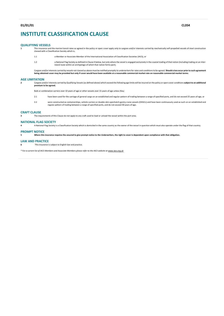#### **01/01/01 CL354**

### **INSTITUTE CLASSIFICATION CLAUSE**

### **QUALIFYING VESSELS**

- **1** This insurance and the marine transit rates as agreed in the policy or open cover apply only to cargoes and/or interests carried by mechanically self-propelled vessels of steel construction classed with a Classification Society which is;
- 1.1 a Member or Associate Member of the International Association of Classification Societies (IACS), or
- 1.2 a National Flag Society as defined in Clause 4 below, but only where the vessel is engaged exclusively in the coastal trading of that nation (including trading on an interisland route within an archipelago of which that nation forms part).

Cargoes and/or interests carried by vessels not classed as above must be notified promptly to underwriters for rates and conditions to be agreed. **Should a loss occur prior to such agreement being obtained cover may be provided but only if cover would have been available at a reasonable commercial market rate on reasonable commercial market terms.**

### **AGE LIMITATION**

2 Cargoes and/or interests carried by Qualifying Vessels (as defined above) which exceed the following age limits will be insured on the policy or open cover condition**s subject to an additional**<br>**premium to be agreed.** 

Bulk or combination carriers over 10 years of age or other vessels over 15 years of age unless they:

- 2.1 have been used for the carriage of general cargo on an established and regular pattern of trading between a range of specified ports, and do not exceed 25 years of age, or
- 2.2 were constructed as containerships, vehicle carriers or double-skin openhatch gantry crane vessels (OHGCs) and have been continuously used as such on an established and regular pattern of trading between a range of specified ports, and do not exceed 30 years of age.

### **CRAFT CLAUSE**

**3** The requirements of this Clause do not apply to any craft used to load or unload the vessel within the port area.

#### **NATIONAL FLAG SOCIETY**

**4** A National Flag Society is a Classification Society which is domiciled in the same country as the owner of the vessel in question which must also operate under the flag of that country.

#### **PROMPT NOTICE**

**5 Where this insurance requires the assured to give prompt notice to the Underwriters, the right to cover is dependent upon compliance with that obligation.**

**LAW AND PRACTICE 6** This insurance is subject to English law and practice.

*\* For a current list of IACS Members and Associate Members please refer to the IACS website a[t www.iacs.org.uk](http://www.iacs.org.uk/)*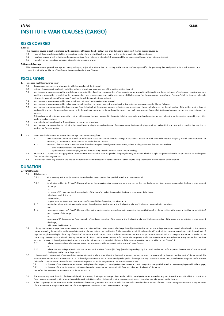### **1/1/09 CL385 INSTITUTE WAR CLAUSES (CARGO)**

#### **RISKS COVERED**

#### **1. Risks**

- This insurance covers, except as excluded by the provisions of Clauses 3 and 4 below, loss of or damage to the subject-matter insured caused by
- 1.1 war civil war revolution rebellion insurrection, or civil strife arising therefrom, or any hostile act by or against a belligerent power<br>12 capture seizure arrest restraint or detainment arising from risks covered unde
- 1.2 capture seizure arrest restraint or detainment, arising from risks covered under 1.1 above, and the consequences thereof or any attempt thereat
- derelict mines torpedoes bombs or other derelict weapons of war.

#### **2. General Average**

This insurance covers general average and salvage charges, adjusted or determined according to the contract of carriage and/or the governing law and practice, incurred to avoid or in connection with the avoidance of loss from a risk covered under these Clauses.

#### **EXCLUSIONS**

- **3.** In no case shall this insurance cover
- 3.1 loss damage or expense attributable to wilful misconduct of the Assured
- 3.2 ordinary leakage, ordinary loss in weight or volume, or ordinary wear and tear of the subject-matter insured
- 3.3 loss damage or expense caused by insufficiency or unsuitability of packing or preparation of the subject-matter insured to withstand the ordinary incidents of the insured transit where such packing or preparation is carried out by the Assured or their employees or prior to the attachment of this insurance (for the purpose of these Clauses "packing" shall be deemed to include stowage in a container and "employees" shall not include independent contractors)
- 3.4 loss damage or expense caused by inherent vice or nature of the subject-matter insured
- loss damage or expense caused by delay, even though the delay be caused by a risk insured against (except expenses payable under Clause 2 above)
- 3.6 loss damage or expense caused by insolvency or financial default of the owners managers charterers or operators of the vessel where, at the time of loading of the subject-matter insured on board the vessel, the Assured are aware, or in the ordinary course of business should be aware, that such insolvency or financial default could prevent the normal prosecution of the voyage

This exclusion shall not apply where the contract of insurance has been assigned to the party claiming hereunder who has bought or agreed to buy the subject-matter insured in good faith under a binding contract

- 3.7 any claim based upon loss of or frustration of the voyage or adventure<br>3.8 loss damage or expense directly or indirectly caused by or arising from
- loss damage or expense directly or indirectly caused by or arising from any hostile use of any weapon or device employing atomic or nuclear fission and/or fusion or other like reaction or radioactive force or matter.
- **4.** 4.1 In no case shall this insurance cover loss damage or expense arising from
	- 4.1.1 unseaworthiness of vessel or craft or unfitness of vessel or craft for the safe carriage of the subject-matter insured, where the Assured are privy to such unseaworthiness or unfitness, at the time the subject-matter insured is loaded therein
	- 4.1.2 unfitness of container or conveyance for the safe carriage of the subject-matter insured, where loading therein or thereon is carried out
		- prior to attachment of this insurance or
	- by the Assured or their employees and they are privy to such unfitness at the time of loading.
	- 4.2 Exclusion 4.1.1 above shall not apply where the contract of insurance has been assigned to the party claiming hereunder who has bought or agreed to buy the subject-matter insured in good faith under a binding contract.
	- 4.3 The Insurers waive any breach of the implied warranties of seaworthiness of the ship and fitness of the ship to carry the subject-matter insured to destination.

#### **DURATION**

#### **5. Transit Clause**

5.1 This insurance

- 5.1.1 attaches only as the subject-matter insured and as to any part as that part is loaded on an oversea vessel
- and 5.1.2 terminates, subject to 5.2 and 5.3 below, either as the subject-matter insured and as to any part as that part is discharged from an oversea vessel at the final port or place of discharge,
	- or

on expiry of 15 days counting from midnight of the day of arrival of the vessel at the final port or place of discharge,

whichever shall first occur; nevertheless,

subject to prompt notice to the Insurers and to an additional premium, such insurance

- 5.1.3 reattaches when, without having discharged the subject-matter insured at the final port or place of discharge, the vessel sails therefrom,
- and
- 5.1.4 terminates, subject to 5.2 and 5.3 below, either as the subject-matter insured and as to any part as that part is thereafter discharged from the vessel at the final (or substituted) port or place of discharge,
	- or

on expiry of 15 days counting from midnight of the day of re-arrival of the vessel at the final port or place of discharge or arrival of the vessel at a substituted port or place of discharge,

- whichever shall first occur.
- 5.2 If during the insured voyage the oversea vessel arrives at an intermediate port or place to discharge the subject-matter insured for on-carriage by oversea vessel or by aircraft, or the subjectmatter insured is discharged from the vessel at a port or place of refuge, then, subject to 5.3 below and to an additional premium if required, this insurance continues until the expiry of 15 days counting from midnight of the day of arrival of the vessel at such port or place, but thereafter reattaches as the subject-matter insured and as to any part as that part is loaded on an on-carrying oversea vessel or aircraft. During the period of 15 days the insurance remains in force after discharge only whilst the subject-matter insured and as to any part as that part is at such port or place. If the subject-matter insured is on-carried within the said period of 15 days or if the insurance reattaches as provided in this Clause 5.2
	- 5.2.1 where the on-carriage is by oversea vessel this insurance continues subject to the terms of these Clauses, or
	- 5.2.2 where the on-carriage is by aircraft, the current Institute War Clauses (Air Cargo) (excluding sendings by Post) shall be deemed to form part of the contract of insurance and shall apply to the on-carriage by air.
- 5.3 If the voyage in the contract of carriage is terminated at a port or place other than the destination agreed therein, such port or place shall be deemed the final port of discharge and this insurance terminates in accordance with 5.1.2. If the subject-matter insured is subsequently reshipped to the original or any other destination, then *provided notice is given to the Insurers before the commencement of such further transit and subject to an additional premium, this insurance reattaches*<br>5.3.1 in the case of the subject-matter insured having been discharged. as the subject-matter insured and as
	- in the case of the subject-matter insured having been discharged, as the subject-matter insured and as to any part as that part is loaded on the on-carrying vessel for the voyage; 5.3.2 in the case of the subject-matter not having been discharged, when the vessel sails from such deemed final port of discharge;
	- thereafter this insurance terminates in accordance with 5.1.4.
- 5.4 The insurance against the risks of mines and derelict torpedoes, floating or submerged, is extended whilst the subject-matter insured or any part thereof is on craft whilst in transit to or from the oversea vessel, but in no case beyond the expiry of 60 days after discharge from the oversea vessel unless otherwise specially agreed by the Insurers.
- 5.5 Subject to prompt notice to Insurers, and to an additional premium if required, this insurance shall remain in force within the provisions of these Clauses during any deviation, or any variation of the adventure arising from the exercise of a liberty granted to carriers under the contract of carriage.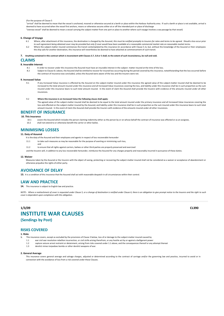(For the purpose of Clause 5

"arrival" shall be deemed to mean that the vessel is anchored, moored or otherwise secured at a berth or place within the Harbour Authority area. If such a berth or place is not available, arrival is deemed to have occurred when the vessel first anchors, moors or otherwise secures either at or off the intended port or place of discharge "oversea vessel" shall be deemed to mean a vessel carrying the subject-matter from one port or place to another where such voyage involves a sea passage by that vessel)

#### **6. Change of Voyage**

- 6.1 Where, after attachment of this insurance, the destination is changed by the Assured, *this must be notified promptly to Insurers for rates and terms to be agreed. Should a loss occur prior to such agreement being obtained cover may be provided but only if cover would have been available at a reasonable commercial market rate on reasonable market terms.*
- 6.2 Where the subject-matter insured commences the transit contemplated by this insurance (in accordance with Clause 5.1), but, without the knowledge of the Assured or their employees the ship sails for another destination, this insurance will nevertheless be deemed to have attached at commencement of such transit.

#### **7. Anything contained in this contract which is inconsistent with Clauses 3.7, 3.8 or 5 shall, to the extent of such inconsistency, be null and void.**

#### **CLAIMS**

### **8. Insurable Interest**<br>8.1 In order

- In order to recover under this insurance the Assured must have an insurable interest in the subject- matter insured at the time of the loss.
- 8.2 Subject to Clause 8.1 above, the Assured shall be entitled to recover for insured loss occurring during the period covered by this insurance, notwithstanding that the loss occurred before the contract of insurance was concluded, unless the Assured were aware of the loss and the Insurers were not.

#### **9. Increased Value**

- 9.1 If any Increased Value insurance is effected by the Assured on the subject-matter insured under this insurance the agreed value of the subject-matter insured shall be deemed to be increased to the total amount insured under this insurance and all Increased Value insurances covering the loss, and liability under this insurance shall be in such proportion as the sum insured under this insurance bears to such total amount insured. In the event of claim the Assured shall provide the Insurers with evidence of the amounts insured under all other insurances.
- 9.2 **Where this insurance is on Increased Value the following clause shall apply:**
	- The agreed value of the subject-matter insured shall be deemed to be equal to the total amount insured under the primary insurance and all Increased Value insurances covering the loss and effected on the subject-matter insured by the Assured, and liability under this insurance shall be in such proportion as the sum insured under this insurance bears to such total amount insured. In the event of claim the Assured shall provide the Insurers with evidence of the amounts insured under all other insurances.

#### **BENEFIT OF INSURANCE**

#### **10. This insurance**

- 10.1 covers the Assured which includes the person claiming indemnity either as the person by or on whose behalf the contract of insurance was effected or as an assignee,
- 10.2 shall not extend to or otherwise benefit the carrier or other bailee.

#### **MINIMISING LOSSES**

#### **11. Duty of Assured**

- It is the duty of the Assured and their employees and agents in respect of loss recoverable hereunder
- 11.1 to take such measures as may be reasonable for the purpose of averting or minimising such loss, and
- 11.2 to ensure that all rights against carriers, bailees or other third parties are properly preserved and exercised
- and the Insurers will, in addition to any loss recoverable hereunder, reimburse the Assured for any charges properly and reasonably incurred in pursuance of these duties.

#### **12. Waiver**

Measures taken by the Assured or the Insurers with the object of saving, protecting or recovering the subject-matter insured shall not be considered as a waiver or acceptance of abandonment or otherwise prejudice the rights of either party.

#### **AVOIDANCE OF DELAY**

**13.** It is a condition of this insurance that the Assured shall act with reasonable despatch in all circumstances within their control.

#### **LAW AND PRACTICE**

**14.** This insurance is subject to English law and practice.

*NOTE:- Where a reattachment of cover is requested under Clause 5, or a change of destination is notified under Clause 6, there is an obligation to give prompt notice to the Insurers and the right to such cover is dependent upon compliance with this obligation.*

### **1/3/09 CL390 INSTITUTE WAR CLAUSES (Sendings by Post)**

#### **RISKS COVERED**

**1. Risks**

- **1.** This insurance covers, except as excluded by the provisions of Clause 3 below, loss of or damage to the subject-matter insured caused by
	- 1.1 war civil war revolution rebellion insurrection, or civil strife arising therefrom, or any hostile act by or against a belligerent power
	- 1.2 capture seizure arrest restraint or detainment, arising from risks covered under 1.1 above, and the consequences thereof or any attempt thereat
	- 1.3 derelict mines torpedoes bombs or other derelict weapons of war.

#### **2. General Average**

This insurance covers general average and salvage charges, adjusted or determined according to the contract of carriage and/or the governing law and practice, incurred to avoid or in connection with the avoidance of loss from a risk covered under these Clauses.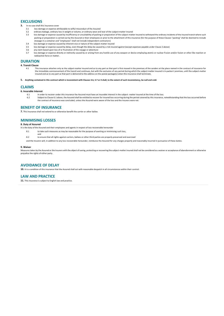#### **EXCLUSIONS**

#### **3.** In no case shall this insurance cover

- 3.1 loss damage or expense attributable to wilful misconduct of the Assured
- 3.2 ordinary leakage, ordinary loss in weight or volume, or ordinary wear and tear of the subject-matter insured<br>3.3 loss damage or expense caused by insufficiency or unsuitability of packing or preparation of the subject-
- loss damage or expense caused by insufficiency or unsuitability of packing or preparation of the subject-matter insured to withstand the ordinary incidents of the insured transit where such packing or preparation is carried out by the Assured or their employees or prior to the attachment of this insurance (for the purpose of these Clauses "packing" shall be deemed to include stowage in a container and "employees" shall not include independent contractors)
- 3.4 loss damage or expense caused by inherent vice or nature of the subject-matter insured
- 3.5 loss damage or expense caused by delay, even though the delay be caused by a risk insured against (except expenses payable under Clause 2 above)
- 3.6 any claim based upon loss of or frustration of the voyage or adventure
- 3.7 loss damage or expense directly or indirectly caused by or arising from any hostile use of any weapon or device employing atomic or nuclear fission and/or fusion or other like reaction or radioactive force or matter.

#### **DURATION**

### **4. Transit Clause**

- ---<br>This insurance attaches only as the subject-matter insured and as to any part as that part is first moved in the premises of the senders at the place named in the contract of insurance for the immediate commencement of the transit and continues, but with the exclusion of any period during which the subject-matter insured is in packers' premises, until the subject-matter insured and as to any part as that part is delivered to the address on the postal package(s) when this insurance shall terminate.
- **5. Anything contained in this contract which is inconsistent with Clauses 3.6, 3.7 or 4 shall, to the extent of such inconsistency, be null and void.**

#### **CLAIMS**

**6. Insurable Interest**

- 6.1 In order to recover under this insurance the Assured must have an insurable interest in the subject- matter insured at the time of the loss.
- 6.2 Subject to Clause 6.1 above, the Assured shall be entitled to recover for insured loss occurring during the period covered by this insurance, notwithstanding that the loss occurred before the contract of insurance was concluded, unless the Assured were aware of the loss and the Insurers were not.

#### **BENEFIT OF INSURANCE**

**7.** This insurance shall not extend to or otherwise benefit the carrier or other bailee.

#### **MINIMISING LOSSES**

#### **8. Duty of Assured**

It is the duty of the Assured and their employees and agents in respect of loss recoverable hereunder

- 8.1 to take such measures as may be reasonable for the purpose of averting or minimising such loss, and
- 8.2 to ensure that all rights against carriers, bailees or other third parties are properly preserved and exercised
- and the Insurers will, in addition to any loss recoverable hereunder, reimburse the Assured for any charges properly and reasonably incurred in pursuance of these duties.

#### **9. Waiver**

Measures taken by the Assured or the Insurers with the object of saving, protecting or recovering the subject-matter insured shall not be considered as a waiver or acceptance of abandonment or otherwise prejudice the rights of either party.

#### **AVOIDANCE OF DELAY**

**10.** It is a condition of this insurance that the Assured shall act with reasonable despatch in all circumstances within their control.

#### **LAW AND PRACTICE**

**11.** This insurance is subject to English law and practice.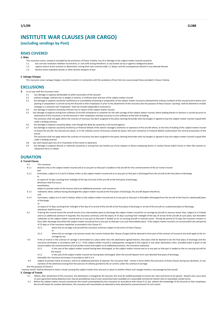**1/1/09 CL388**

### **INSTITUTE WAR CLAUSES (AIR CARGO)**

**(excluding sendings by Post)**

### **RISKS COVERED**

#### **1. Risks**

- This insurance covers, except as excluded by the provisions of Clause 3 below, loss of or damage to the subject-matter insured caused by
- 1.1 war civil war revolution rebellion insurrection, or civil strife arising therefrom, or any hostile act by or against a belligerent power
- 1.2 capture seizure arrest restraint or detainment, arising from risks covered under 1.1 above, and the consequences thereof or any attempt thereat<br>1.3 derelict mines torpedoes bombs or other derelict weapons of war.
- 1.3 derelict mines torpedoes bombs or other derelict weapons of war.

#### **2. Salvage Charges**

This insurance covers salvage charges, incurred to avoid or in connection with the avoidance of loss from any cause except those excluded in Clause 3 below.

#### **EXCLUSIONS**

- **3.** In no case shall this insurance cover
	- 3.1 loss damage or expense attributable to wilful misconduct of the Assured
	- 3.2 ordinary leakage, ordinary loss in weight or volume, or ordinary wear and tear of the subject-matter insured
	- 3.3 loss damage or expense caused by insufficiency or unsuitability of packing or preparation of the subject-matter insured to withstand the ordinary incidents of the insured transit where such packing or preparation is carried out by the Assured or their employees or prior to the attachment of this insurance (for the purpose of these Clauses "packing" shall be deemed to include stowage in a container and "employees" shall not include independent contractors)
	- 3.4 loss damage or expense caused by inherent vice or nature of the subject-matter insured
	- loss damage or expense arising from unfitness of aircraft conveyance or container for the safe carriage of the subject-matter insured, where loading therein or thereon is carried out prior to attachment of this insurance or by the Assured or their employees and they are privy to such unfitness at the time of loading.
	- This exclusion shall not apply where the contract of insurance has been assigned to the party claiming hereunder who has bought or agreed to buy the subject-matter insured in good faith under a binding contract.
	- 3.6 loss damage or expense caused by delay, even though the delay be caused by a risk insured against
	- 3.7 loss damage or expense caused by insolvency or financial default of the owners managers charterers or operators of the aircraft where, at the time of loading of the subject-matter insured on board the aircraft, the Assured are aware, or in the ordinary course of business should be aware, that such insolvency or financial default could prevent the normal prosecution of the transit

This exclusion shall not apply where the contract of insurance has been assigned to the party claiming hereunder who has bought or agreed to buy the subject-matter insured in good faith under a binding contract

- 3.8 any claim based upon loss of or frustration of the transit or adventure
- 3.9 loss damage or expense directly or indirectly caused by or arising from any hostile use of any weapon or device employing atomic or nuclear fission and/or fusion or other like reaction or radioactive force or matter.

#### **DURATION**

### **4. Transit Clause**

- 4.1 This insurance<br>4.1.1 attaches only a and
- attaches only as the subject-matter insured and as to any part as that part is loaded on the aircraft for the commencement of the air transit insured
- 
- 4.1.2 terminates, subject to 4.2 and 4.3 below, either as the subject-matter insured and as to any part as that part is discharged from the aircraft at the final place of discharge or

on expiry of 15 days counting from midnight of the day of arrival of the aircraft at the final place of discharge,

whichever shall first occur;

nevertheless,

*subject to prompt notice to the Insurers and to an additional premium,* such insurance

- 4.1.3 reattaches when, without having discharged the subject-matter insured at the final place of discharge, the aircraft departs therefrom,
	- and
- 4.1.4 terminates, subject to 4.2 and 4.3 below, either as the subject-matter insured and as to any part as that part is thereafter discharged from the aircraft at the final (or substituted) place of discharge,
	- or

on expiry of 15 days counting from midnight of the day of re-arrival of the aircraft at the final place of discharge or arrival of the aircraft at a substituted place of discharge, whichever shall first occur.

- 4.2 If during the insured transit the aircraft arrives at an intermediate place to discharge the subject-matter insured for on-carriage by aircraft or oversea vessel, then, subject to 4.3 below and to an additional premium if required, this insurance continues until the expiry of 15 days counting from midnight of the day of arrival of the aircraft at such place, but thereafter reattaches as the subject-matter insured and as to any part as that part is loaded on an on-carrying aircraft or oversea vessel. During the period of 15 days the insurance remains in force after discharge only whilst the subject-matter insured and as to any part as that part is at such intermediate place. If the subject-matter insured is on-carried within the said period of 15 days or if the insurance reattaches as provided in this Clause 4.2
	- where the on-carriage is by aircraft this insurance continues subject to the terms of these Clauses,
	- or 4.2.2 where the on-carriage is by oversea vessel, the current Institute War Clauses (Cargo) shall be deemed to form part of the contract of insurance and shall apply to the oncarriage by sea.

4.3 If the air transit in the contract of carriage is terminated at a place other than the destination agreed therein, that place shall be deemed to be the final place of discharge and this insurance terminates in accordance with 4.1.2. If the subject-matter insured is subsequently consigned to the original or any other destination, then, *provided notice is given to the* 

- *Insurers before the commencement of such further transit and subject to an additional premium, this insurance reattaches*<br>4.3.1 in the case of the subject-matter insured having been discharged, as the subject-matter insur in the case of the subject-matter insured having been discharged, as the subject-matter insured and as to any part as that part is loaded on the on-carrying aircraft for the transit;
	- 4.3.2 in the case of the subject-matter insured not having been discharged, when the aircraft departs from such deemed final place of discharge;
- thereafter this insurance terminates in accordance with 4.1.4.

4.4 Subject to prompt notice to Insurers, and to an additional premium if required, this insurance shall remain in force within the provisions of these Clauses during any deviation, or any variation of the adventure arising from the exercise of a liberty granted to the air carriers under the contract of carriage.

#### (For the purpose of Clause 4

rsea vessel" shall be deemed to mean a vessel carrying the subject-matter from one port or place to another where such voyage involves a sea passage by that vessel)

#### **5. Change of Transit**

- Where, after attachment of this insurance, the destination is changed by the Assured, *this must be notified promptly to Insurers for rates and terms to be agreed. Should a loss occur prior to such agreement being obtained cover may be provided but only if cover would have been available at a reasonable commercial market rate on reasonable market terms*.
- 5.2 Where the subject-matter insured commences the transit contemplated by this insurance (in accordance with Clause 4.1), but, without the knowledge of the Assured or their employees the aircraft leaves for another destination, this insurance will nevertheless be deemed to have attached at commencement of such transit.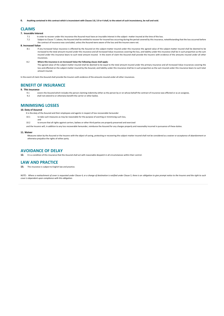**6. Anything contained in this contract which is inconsistent with Clauses 3.8, 3.9 or 4 shall, to the extent of such inconsistency, be null and void.**

#### **CLAIMS**

#### **7. Insurable Interest**

- 7.1 In order to recover under this insurance the Assured must have an insurable interest in the subject- matter insured at the time of the loss.
- 7.2 Subject to Clause 7.1 above, the Assured shall be entitled to recover for insured loss occurring during the period covered by this insurance, notwithstanding that the loss occurred before the contract of insurance was concluded, unless the Assured were aware of the loss and the Insurers were not.

#### **8. Increased Value**

8.1 If any Increased Value insurance is effected by the Assured on the subject-matter insurater insurance the subject-matter insured shall be deemed to be subject-matter insured shall be deemed to be subject-matter insured increased to the total amount insured under this insurance and all Increased Value insurances covering the loss, and liability under this insurance shall be in such proportion as the sum insured under this insurance bears to such total amount insured. In the event of claim the Assured shall provide the Insurers with evidence of the amounts insured under all other insurances.

#### 8.2 **Where this insurance is on Increased Value the following clause shall apply:**

The agreed value of the subject-matter insured shall be deemed to be equal to the total amount insured under the primary insurance and all Increased Value insurances covering the loss and effected on the subject-matter insured by the Assured, and liability under this insurance shall be in such proportion as the sum insured under this insurance bears to such total amount insured.

In the event of claim the Assured shall provide the Insurers with evidence of the amounts insured under all other insurances.

#### **BENEFIT OF INSURANCE**

### **9. This insurance**<br>9.1 com

- 9.1 covers the Assured which includes the person claiming indemnity either as the person by or on whose behalf the contract of insurance was effected or as an assignee,<br>9.2 shall not extend to or otherwise benefit the carr
- shall not extend to or otherwise benefit the carrier or other bailee.

### **MINIMISING LOSSES**

#### **10. Duty of Assured**

- It is the duty of the Assured and their employees and agents in respect of loss recoverable hereunder
- 10.1 to take such measures as may be reasonable for the purpose of averting or minimising such loss,
- and 10.2 to ensure that all rights against carriers, bailees or other third parties are properly preserved and exercised

and the Insurers will, in addition to any loss recoverable hereunder, reimburse the Assured for any charges properly and reasonably incurred in pursuance of these duties.

#### **11. Waiver**

Measures taken by the Assured or the Insurers with the object of saving, protecting or recovering the subject-matter insured shall not be considered as a waiver or acceptance of abandonment or otherwise prejudice the rights of either party.

#### **AVOIDANCE OF DELAY**

**12.** It is a condition of this insurance that the Assured shall act with reasonable despatch in all circumstances within their control.

#### **LAW AND PRACTICE**

**13.** This insurance is subject to English law and practice.

*NOTE:- Where a reattachment of cover is requested under Clause 4, or a change of destination is notified under Clause 5, there is an obligation to give prompt notice to the Insurers and the right to such cover is dependent upon compliance with this obligation.*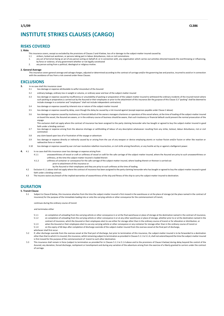#### **1/1/09 CL386**

### **INSTITUTE STRIKES CLAUSES (CARGO)**

#### **RISKS COVERED**

#### **1. Risks**

- This insurance covers, except as excluded by the provisions of Clauses 3 and 4 below, loss of or damage to the subject-matter insured caused by
- 1.1 strikers, locked-out workmen, or persons taking part in labour disturbances, riots or civil commotions<br>1. any act of terrorism being an act of any person acting on behalf of, or in connection with, any organisation whi
- by force or violence, of any government whether or not legally constituted

#### any person acting from a political, ideological or religious motive.

#### **2. General Average**

This insurance covers general average and salvage charges, adjusted or determined according to the contract of carriage and/or the governing law and practice, incurred to avoid or in connection with the avoidance of loss from a risk covered under these Clauses.

#### **EXCLUSIONS**

**3.** In no case shall this insurance cover<br>3.1 Ioss damage or expense at

- loss damage or expense attributable to wilful misconduct of the Assured
- 3.2 ordinary leakage, ordinary loss in weight or volume, or ordinary wear and tear of the subject-matter insured
- 3.3 loss damage or expense caused by insufficiency or unsuitability of packing or preparation of the subject-matter insured to withstand the ordinary incidents of the insured transit where such packing or preparation is carried out by the Assured or their employees or prior to the attachment of this insurance (for the purpose of this Clause 3.3 "packing" shall be deemed to include stowage in a container and "employees" shall not include independent contractors)
- 3.4 loss damage or expense caused by inherent vice or nature of the subject-matter insured
- 3.5 loss damage or expense caused by delay, even though the delay be caused by a risk insured against (except expenses payable under Clause 2 above)
- 3.6 loss damage or expense caused by insolvency or financial default of the owners managers charterers or operators of the vessel where, at the time of loading of the subject-matter insured on board the vessel, the Assured are aware, or in the ordinary course of business should be aware, that such insolvency or financial default could prevent the normal prosecution of the voyage
	- This exclusion shall not apply where the contract of insurance has been assigned to the party claiming hereunder who has bought or agreed to buy the subject-matter insured in good faith under a binding contract
- 3.7 loss damage or expense arising from the absence shortage or withholding of labour of any description whatsoever resulting from any strike, lockout, labour disturbance, riot or civil commotion
- 3.8 any claim based upon loss of or frustration of the voyage or adventure
- 3.9 loss damage or expense directly or indirectly caused by or arising from the use of any weapon or device employing atomic or nuclear fission and/or fusion or other like reaction or radioactive force or matter
- 3.10 loss damage or expense caused by war civil war revolution rebellion insurrection, or civil strife arising therefrom, or any hostile act by or against a belligerent power.

#### **4.** 4.1 In no case shall this insurance cover loss damage or expense arising from

- 4.1.1 unseaworthiness of vessel or craft or unfitness of vessel or craft for the safe carriage of the subject-matter insured, where the Assured are privy to such unseaworthiness or unfitness, at the time the subject-matter insured is loaded therein
	- 4.1.2 unfitness of container or conveyance for the safe carriage of the subject-matter insured, where loading therein or thereon is carried out prior to attachment of this insurance or
		- by the Assured or their employees and they are privy to such unfitness at the time of loading.
- 4.2 Exclusion 4.1.1 above shall not apply where the contract of insurance has been assigned to the party claiming hereunder who has bought or agreed to buy the subject-matter insured in good faith under a binding contract.
- 4.3 The Insurers waive any breach of the implied warranties of seaworthiness of the ship and fitness of the ship to carry the subject-matter insured to destination.

#### **DURATION**

#### **5. Transit Clause**

5.1 Subject to Clause 8 below, this insurance attaches from the time the subject-matter insured is first moved in the warehouse or at the place of storage (at the place named in the contract of insurance) for the purpose of the immediate loading into or onto the carrying vehicle or other conveyance for the commencement of transit,

continues during the ordinary course of transit

and terminates either

- 5.1.1 on completion of unloading from the carrying vehicle or other conveyance in or at the final warehouse or place of storage at the destination named in the contract of insurance, 5.1.2 on completion of unloading from the carrying vehicle or other conveyance in or at any other warehouse or place of storage, whether prior to or at the destination named in the
- contract of insurance, which the Assured or their employees elect to use either for storage other than in the ordinary course of transit or for allocation or distribution, or
- 5.1.3 when the Assured or their employees elect to use any carrying vehicle or other conveyance or any container for storage other than in the ordinary course of transit or<br>5.1.4 on the expiry of 60 days after completion o on the expiry of 60 days after completion of discharge overside of the subject-matter insured from the oversea vessel at the final port of discharge

whichever shall first occur.

- 5.2 If, after discharge overside from the oversea vessel at the final port of discharge, but prior to termination of this insurance, the subject-matter insured is to be forwarded to a destination other than that to which it is insured, this insurance, whilst remaining subject to termination as provided in Clauses 5.1.1 to 5.1.4, shall not extend beyond the time the subject-matter insured is first moved for the purpose of the commencement of transit to such other destination.
- 5.3 This insurance shall remain in force (subject to termination as provided for in Clauses 5.1.1 to 5.1.4 above and to the provisions of Clause 6 below) during delay beyond the control of the Assured, any deviation, forced discharge, reshipment or transhipment and during any variation of the adventure arising from the exercise of a liberty granted to carriers under the contract of carriage.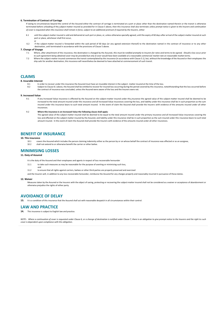#### **6. Termination of Contract of Carriage**

If owing to circumstances beyond the control of the Assured either the contract of carriage is terminated at a port or place other than the destination named therein or the transit is otherwise terminated before unloading of the subject-matter insured as provided for in Clause 5 above, then this insurance shall also terminate *unless prompt notice is given to the Insurers and continuation of cover is requested when this insurance shall remain in force, subject to an additional premium if required by the Insurers*, either

- 6.1 until the subject-matter insured is sold and delivered at such port or place, or, unless otherwise specially agreed, until the expiry of 60 days after arrival of the subject-matter insured at such port or place, whichever shall first occur,
- or<br>6.2 if the subject-matter insured is forwarded within the said period of 60 days (or any agreed extension thereof) to the destination named in the contract of insurance or to any other destination, until terminated in accordance with the provisions of Clause 5 above.

#### **7. Change of Voyage**

- Where, after attachment of this insurance, the destination is changed by the Assured, *this must be notified promptly to Insurers for rates and terms to be agreed. Should a loss occur prior to such agreement being obtained cover may be provided but only if cover would have been available at a reasonable commercial market rate on reasonable market terms.*
- 7.2 Where the subject-matter insured commences the transit contemplated by this insurance (in accordance with Clause 5.1), but, without the knowledge of the Assured or their employees the ship sails for another destination, this insurance will nevertheless be deemed to have attached at commencement of such transit.

#### **CLAIMS**

### **8. Insurable Interest**<br>8.1 In order

- In order to recover under this insurance the Assured must have an insurable interest in the subject- matter insured at the time of the loss.
	- 8.2 Subject to Clause 8.1 above, the Assured shall be entitled to recover for insured loss occurring during the period covered by this insurance, notwithstanding that the loss occurred before the contract of insurance was concluded, unless the Assured were aware of the loss and the Insurers were not.

#### **9. Increased Value**

9.1 If any Increased Value insurance is effected by the Assured on the subject-matter insured under this insurance the agreed value of the subject-matter insured shall be deemed to be increased to the total amount insured under this insurance and all Increased Value insurances covering the loss, and liability under this insurance shall be in such proportion as the sum insured under this insurance bears to such total amount insured. In the event of claim the Assured shall provide the Insurers with evidence of the amounts insured under all other insurances.

#### 9.2 **Where this insurance is on Increased Value the following clause shall apply:**

The agreed value of the subject-matter insured shall be deemed to be equal to the total amount insured under the primary insurance and all Increased Value insurances covering the loss and effected on the subject-matter insured by the Assured, and liability under this insurance shall be in such proportion as the sum insured under this insurance bears to such total amount insured. In the event of claim the Assured shall provide the Insurers with evidence of the amounts insured under all other insurances.

#### **BENEFIT OF INSURANCE**

### **10. This insurance**<br>10.1 cove

10.1 covers the Assured which includes the person claiming indemnity either as the person by or on whose behalf the contract of insurance was effected or as an assignee, 10.2 shall not extend to or otherwise benefit the carrier or other bailee.

#### **MINIMISING LOSSES**

#### **11. Duty of Assured**

- It is the duty of the Assured and their employees and agents in respect of loss recoverable hereunder
- 11.1 to take such measures as may be reasonable for the purpose of averting or minimising such loss,
- and 11.2 to ensure that all rights against carriers, bailees or other third parties are properly preserved and exercised
- and the Insurers will, in addition to any loss recoverable hereunder, reimburse the Assured for any charges properly and reasonably incurred in pursuance of these duties.

#### **12. Waiver**

Measures taken by the Assured or the Insurers with the object of saving, protecting or recovering the subject-matter insured shall not be considered as a waiver or acceptance of abandonment or otherwise prejudice the rights of either party.

#### **AVOIDANCE OF DELAY**

**13.** It is a condition of this insurance that the Assured shall act with reasonable despatch in all circumstances within their control.

#### **LAW AND PRACTICE**

**14.** This insurance is subject to English law and practice.

*NOTE:- Where a continuation of cover is requested under Clause 6, or a change of destination is notified under Clause 7, there is an obligation to give prompt notice to the Insurers and the right to such cover is dependent upon compliance with this obligation.*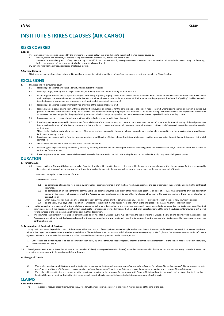#### **1/1/09 CL389**

### **INSTITUTE STRIKES CLAUSES (AIR CARGO)**

#### **RISKS COVERED**

#### **1. Risks**

- This insurance covers, except as excluded by the provisions of Clause 3 below, loss of or damage to the subject-matter insured caused by
- 1.1 strikers, locked-out workmen, or persons taking part in labour disturbances, riots or civil commotions any act of terrorism being an act of any person acting on behalf of, or in connection with, any organisation which carries out activities directed towards the overthrowing or influencing, by force or violence, of any government whether or not legally constituted

#### any person acting from a political, ideological or religious motive.

#### **2. Salvage Charges**

This insurance covers salvage charges incurred to avoid or in connection with the avoidance of loss from any cause except those excluded in Clause 3 below.

#### **EXCLUSIONS**

- **3.** In no case shall this insurance cover
	- 3.1 loss damage or expense attributable to wilful misconduct of the Assured
	- 3.2 ordinary leakage, ordinary loss in weight or volume, or ordinary wear and tear of the subject-matter insured
	- 3.3 loss damage or expense caused by insufficiency or unsuitability of packing or preparation of the subject-matter insured to withstand the ordinary incidents of the insured transit where such packing or preparation is carried out by the Assured or their employees or prior to the attachment of this insurance (for the purpose of this Clause 3.3 "packing" shall be deemed to include stowage in a container and "employees" shall not include independent contractors)
	- 3.4 loss damage or expense caused by inherent vice or nature of the subject-matter insured
	- 3.5 loss damage or expense arising from unfitness of aircraft conveyance or container for the safe carriage of the subject-matter insured, where loading therein or thereon is carried out prior to attachment of this insurance or by the Assured or their employees and they are privy to such unfitness at the time of loading. This exclusion shall not apply where the contract of insurance has been assigned to the party claiming hereunder who has bought or agreed to buy the subject-matter insured in good faith under a binding contract.
	- 3.6 loss damage or expense caused by delay, even though the delay be caused by a risk insured against
	- 3.7 loss damage or expense caused by insolvency or financial default of the owners managers charterers or operators of the aircraft where, at the time of loading of the subject-matter insured on board the aircraft, the Assured are aware, or in the ordinary course of business should be aware, that such insolvency or financial default could prevent the normal prosecution of the transit
	- This exclusion shall not apply where the contract of insurance has been assigned to the party claiming hereunder who has bought or agreed to buy the subject-matter insured in good faith under a binding contract
	- 3.8 loss damage or expense arising from the absence shortage or withholding of labour of any description whatsoever resulting from any strike, lockout, labour disturbance, riot or civil commotion
	- 3.9 any claim based upon loss of or frustration of the transit or adventure
	- 3.10 loss damage or expense directly or indirectly caused by or arising from the use of any weapon or device employing atomic or nuclear fission and/or fusion or other like reaction or radioactive force or matter
	- 3.11 loss damage or expense caused by war civil war revolution rebellion insurrection, or civil strife arising therefrom, or any hostile act by or against a belligerent power.

#### **DURATION**

#### **4. Transit Clause**

4.1 Subject to Clause 7 below, this insurance attaches from the time the subject-matter insured is first moved in the warehouse, premises or at the place of storage (at the place named in the contract of insurance) for the purpose of the immediate loading into or onto the carrying vehicle or other conveyance for the commencement of transit,

continues during the ordinary course of transit

and terminates either

- 4.1.1 on completion of unloading from the carrying vehicle or other conveyance in or at the final warehouse, premises or place of storage at the destination named in the contract of insurance,
- 4.1.2 on completion of unloading from the carrying vehicle or other conveyance in or at any other warehouse, premises or place of storage, whether prior to or at the destination named in the contract of insurance, which the Assured or their employees elect to use either for storage other than in the ordinary course of transit or for allocation or distribution, or
- 4.1.3 when the Assured or their employees elect to use any carrying vehicle or other conveyance or any container for storage other than in the ordinary course of transit or
- 4.1.4 on the expiry of 30 days after completion of unloading of the subject-matter insured from the aircraft at the final place of discharge, whichever shall first occur.
- 4.2 If, after unloading from the aircraft at the final place of discharge, but prior to termination of this insurance, the subject-matter insured is to be forwarded to a destination other than that to which it is insured, this insurance, whilst remaining subject to termination as provided in Clauses 4.1.1 to 4.1.4, shall not extend beyond the time the subject-matter insured is first moved for the purpose of the commencement of transit to such other destination.
- 4.3 This insurance shall remain in force (subject to termination as provided for in Clauses 4.1.1 to 4.1.4 above and to the provisions of Clause 5 below) during delay beyond the control of the Assured, any deviation, forced discharge, reshipment or transhipment and during any variation of the adventure arising from the exercise of a liberty granted to the air carriers under the contract of carriage.

#### **5. Termination of Contract of Carriage**

If owing to circumstances beyond the control of the Assured either the contract of carriage is terminated at a place other than the destination named therein or the transit is otherwise terminated before unloading of the subject-matter insured as provided for in Clause 4 above, then this insurance shall also terminate *unless prompt notice is given to the Insurers and continuation of cover is requested when this insurance shall remain in force, subject to an additional premium if required by the Insurers*, either

- 5.1 until the subject-matter insured is sold and delivered at such place, or, unless otherwise specially agreed, until the expiry of 30 days after arrival of the subject-matter insured at such place, whichever shall first occur,
- or 5.2 if the subject-matter insured is forwarded within the said period of 30 days (or any agreed extension thereof) to the destination named in the contract of insurance or to any other destination, until terminated in accordance with the provisions of Clause 4 above.

#### **6. Change of Transit**

- 6.1 Where, after attachment of this insurance, the destination is changed by the Assured, *this must be notified promptly to Insurers for rates and terms to be noreed. Should a loss occur prior* to such agreement being obtained cover may be provided but only if cover would have been available at a reasonable commercial market rate on reasonable market terms
- 6.2 Where the subject-matter insured commences the transit contemplated by this insurance (in accordance with Clause 4.1), but, without the knowledge of the Assured or their employees the aircraft leaves for another destination, this insurance will nevertheless be deemed to have attached at commencement of such transit.

#### **CLAIMS**

#### **7. Insurable Interest**

7.1 In order to recover under this insurance the Assured must have an insurable interest in the subject-matter insured at the time of the loss.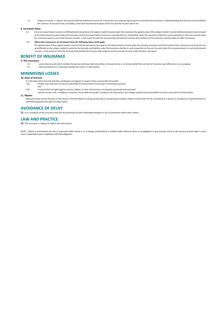7.2 Subject to Clause 7.1 above, the Assured shall be entitled to recover for insured loss occurring during the period covered by this insurance, notwithstanding that the loss occurred before the contract of insurance was concluded, unless the Assured were aware of the loss and the Insurers were not.

#### **8. Increased Value**

- 8.1 If any Increased Value insurance is effected by the Assured on the subject-matter insured under this insurance the agreed value of the subject-matter insured shall be deemed to be increased to the total amount insured under this insurance and all Increased Value insurances covering the loss, and liability under this insurance shall be in such proportion as the sum insured under this insurance bears to such total amount insured. In the event of claim the Assured shall provide the Insurers with evidence of the amounts insured under all other insurances.
- 8.2 **Where this insurance is on Increased Value the following clause shall apply:** The agreed value of the subject-matter insured shall be deemed to be equal to the total amount insured under the primary insurance and all Increased Value insurances covering the loss and effected on the subject-matter insured by the Assured, and liability under this insurance shall be in such proportion as the sum insured under this insurance bears to such total amount insured. In the event of claim the Assured shall provide the Insurers with evidence of the amounts insured under all other insurances.

#### **BENEFIT OF INSURANCE**

### **9. This insurance**

- 9.1 covers the Assured which includes the person claiming indemnity either as the person by or on whose behalf the contract of insurance was effected or as an assignee,<br>9.2 shall not extend to or otherwise benefit the carr
	- shall not extend to or otherwise benefit the carrier or other bailee.

#### **MINIMISING LOSSES**

#### **10. Duty of Assured**

- It is the duty of the Assured and their employees and agents in respect of loss recoverable hereunder<br>10.1 to take such measures as may be reasonable for the purpose of averting or minimising s
- to take such measures as may be reasonable for the purpose of averting or minimising such loss
- and
- 10.2 to ensure that all rights against carriers, bailees or other third parties are properly preserved and exercised
- and the Insurers will, in addition to any loss recoverable hereunder, reimburse the Assured for any charges properly and reasonably incurred in pursuance of these duties.

#### **11. Waiver**

Measures taken by the Assured or the Insurers with the object of saving, protecting or recovering the subject-matter insured shall not be considered as a waiver or acceptance of abandonment or otherwise prejudice the rights of either party.

#### **AVOIDANCE OF DELAY**

**12.** It is a condition of this insurance that the Assured shall act with reasonable despatch in all circumstances within their control.

#### **LAW AND PRACTICE**

**13.** This insurance is subject to English law and practice.

*NOTE:- Where a continuation of cover is requested under Clause 5, or a change of destination is notified under Clause 6, there is an obligation to give prompt notice to the Insurers and the right to such cover is dependent upon compliance with this obligation.*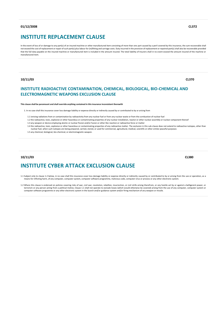#### **01/12/2008 CL372**

### **INSTITUTE REPLACEMENT CLAUSE**

In the event of loss of or damage to any part(s) of an insured machine or other manufactured item consisting of more than one part caused by a peril covered by this insurance, the sum recoverable shall not exceed the cost of replacement or repair of such part(s) plus labour for (re)fitting and carriage costs. Duty incurred in the provision of replacement or repaired part(s) shall also be recoverable provided that the full duty payable on the insured machine or manufactured item is included in the amount insured. The total liability of Insurers shall in no event exceed the amount insured of the machine or manufactured item.

#### **10/11/03 CL370**

### **INSTITUTE RADIOACTIVE CONTAMINATION, CHEMICAL, BIOLOGICAL, BIO-CHEMICAL AND ELECTROMAGNETIC WEAPONS EXCLUSION CLAUSE**

**This clause shall be paramount and shall override anything contained in this insurance inconsistent therewith**

1. In no case shall this insurance cover loss damage liability or expense directly or indirectly caused by or contributed to by or arising from

1.1 ionising radiations from or contamination by radioactivity from any nuclear fuel or from any nuclear waste or from the combustion of nuclear fuel

- 1.2 the radioactive, toxic, explosive or other hazardous or contaminating properties of any nuclear installation, reactor or other nuclear assembly or nuclear component thereof 1.3 any weapon or device employing atomic or nuclear fission and/or fusion or other like reaction or radioactive force or matter
- 

1.4 the radioactive, toxic, explosive or other hazardous or contaminating properties of any radioactive matter. The exclusion in this sub-clause does not extend to radioactive isotopes, other than nuclear fuel, when such isotopes are being prepared, carried, stored, or used for commercial, agricultural, medical, scientific or other similar peaceful purposes 1.5 any chemical, biological, bio-chemical, or electromagnetic weapon.

#### **10/11/03 CL380**

### **INSTITUTE CYBER ATTACK EXCLUSION CLAUSE**

1.1 Subject only to clause 1.2 below, in no case shall this insurance cover loss damage liability or expense directly or indirectly caused by or contributed to by or arising from the use or operation, as a means for inflicting harm, of any computer, computer system, computer software programme, malicious code, computer virus or process or any other electronic system.

1.2 Where this clause is endorsed on policies covering risks of war, civil war, revolution, rebellion, insurrection, or civil strife arising therefrom, or any hostile act by or against a belligerent power, or terrorism or any person acting from a political motive, Clause 1.1 shall not operate to exclude losses (which would otherwise be covered) arising from the use of any computer, computer system or<br>computer software programme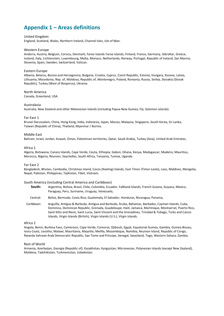### **Appendix 1 – Areas definitions**

#### United Kingdom

England, Scotland, Wales, Northern Ireland, Channel Isles, Isle of Man.

#### Western Europe

Andorra, Austria, Belgium, Corsica, Denmark, Faroe Islands Faroe Islands, Finland, France, Germany, Gibraltar, Greece, Iceland, Italy, Lichtenstein, Luxembourg, Malta, Monaco, Netherlands, Norway, Portugal, Republic of Ireland, San Marino, Slovenia, Spain, Sweden, Switzerland, Vatican.

#### Eastern Europe

Albania, Belarus, Bosnia and Herzegovina, Bulgaria, Croatia, Cyprus, Czech Republic, Estonia, Hungary, Kosovo, Latvia, Lithuania, Macedonia, Rep. of, Moldova, Republic of, Montenegro, Poland, Romania, Russia, Serbia, Slovakia (Slovak Republic), Turkey (West of Bosporus), Ukraine.

#### North America Canada, Greenland, USA.

Australasia

Australia, New Zealand and other Melanesian Islands (including Papua New Guinea, Fiji, Solomon islands).

#### Far East 1

Brunei Darussalam, China, Hong Kong, India, Indonesia, Japan, Macao, Malaysia, Singapore, South Korea, Sri Lanka, Taiwan (Republic of China), Thailand, Myanmar / Burma.

#### Middle East

Bahrain, Israel, Jordan, Kuwait, Oman, Palestinian territories, Qatar, Saudi Arabia, Turkey (Asia), United Arab Emirates,

#### Africa 1

Algeria, Botswana, Canary Islands, Cape Verde, Ceuta, Ethiopia, Gabon, Ghana, Kenya, Madagascar, Madeira, Mauritius, Morocco, Nigeria, Réunion, Seychelles, South Africa, Tanzania, Tunisia, Uganda.

#### Far East 2

Bangladesh, Bhutan, Cambodia, Christmas Island, Cocos (Keeling) Islands, East Timor (Timor-Leste), Laos, Maldives, Mongolia, Nepal, Pakistan, Philippines, Tajikistan, Tibet, Vietnam.

#### South America (including Central America and Caribbean)

- **South:** Argentina, Bolivia, Brazil, Chile, Colombia, Ecuador, Falkland Islands, French Guiana, Guyana, Mexico, Paraguay, Peru, Suriname, Uruguay, Venezuela,
- Central: Belize, Bermuda, Costa Rica, Guatemala, El Salvador, Honduras, Nicaragua, Panama,
- Caribbean: Anguilla, Antigua & Barbuda, Antigua and Barbuda, Aruba, Bahamas, Barbados, Cayman Islands, Cuba, Dominica, Dominican Republic, Grenada, Guadeloupe, Haiti, Jamaica, Martinique, Montserrat, Puerto Rico, Saint Kitts and Nevis, Saint Lucia, Saint Vincent and the Grenadines, Trinidad & Tobago, Turks and Caicos Islands, Virgin Islands (British), Virgin Islands (U.S.), Virgin Islands.

#### Africa 2

Angola, Benin, Burkina Faso, Cameroon, Cape Verde, Comoros, Djibouti, Egypt, Equatorial Guinea, Gambia, Guinea-Bissau, Ivory Coast, Lesotho, Malawi, Mauritania, Mayotte, Melilla, Mozambique, Namibia, Reunion Island, Republic of Congo, Rwanda Sahrawi Arab Democratic Republic, Sao Tome and Principe, Senegal, Swaziland, Togo, Western Sahara, Zambia.

#### Rest of World

Armenia, Azerbaijan, Georgia (Republic of), Kazakhstan, Kyrgyzstan, Micronesian, Polynesian islands (except New Zealand), Moldova, Tadzhikistan, Turkmenistan, Uzbekistan.